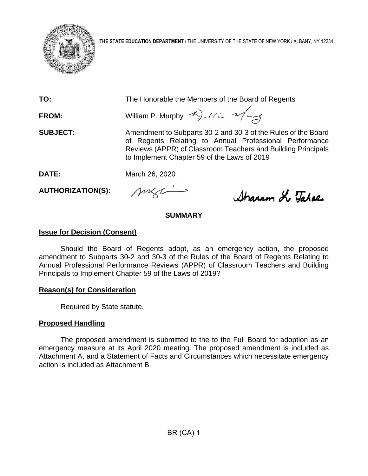

**THE STATE EDUCATION DEPARTMENT** / THE UNIVERSITY OF THE STATE OF NEW YORK / ALBANY, NY 12234

**TO:** The Honorable the Members of the Board of Regents

**FROM:** William P. Murphy  $\rightarrow$   $\rightarrow$   $\rightarrow$   $\rightarrow$ 

**SUBJECT:** Amendment to Subparts 30-2 and 30-3 of the Rules of the Board of Regents Relating to Annual Professional Performance Reviews (APPR) of Classroom Teachers and Building Principals to Implement Chapter 59 of the Laws of 2019

**DATE:** March 26, 2020

**AUTHORIZATION(S):**

suzi

Sharron Le Tabae

# **SUMMARY**

# **Issue for Decision (Consent)**

Should the Board of Regents adopt, as an emergency action, the proposed amendment to Subparts 30-2 and 30-3 of the Rules of the Board of Regents Relating to Annual Professional Performance Reviews (APPR) of Classroom Teachers and Building Principals to Implement Chapter 59 of the Laws of 2019?

# **Reason(s) for Consideration**

Required by State statute.

# **Proposed Handling**

The proposed amendment is submitted to the to the Full Board for adoption as an emergency measure at its April 2020 meeting. The proposed amendment is included as Attachment A, and a Statement of Facts and Circumstances which necessitate emergency action is included as Attachment B.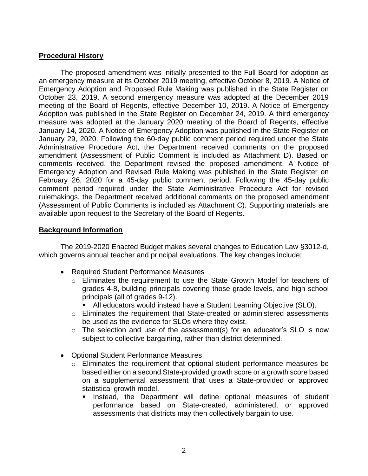#### **Procedural History**

The proposed amendment was initially presented to the Full Board for adoption as an emergency measure at its October 2019 meeting, effective October 8, 2019. A Notice of Emergency Adoption and Proposed Rule Making was published in the State Register on October 23, 2019. A second emergency measure was adopted at the December 2019 meeting of the Board of Regents, effective December 10, 2019. A Notice of Emergency Adoption was published in the State Register on December 24, 2019. A third emergency measure was adopted at the January 2020 meeting of the Board of Regents, effective January 14, 2020. A Notice of Emergency Adoption was published in the State Register on January 29, 2020. Following the 60-day public comment period required under the State Administrative Procedure Act, the Department received comments on the proposed amendment (Assessment of Public Comment is included as Attachment D). Based on comments received, the Department revised the proposed amendment. A Notice of Emergency Adoption and Revised Rule Making was published in the State Register on February 26, 2020 for a 45-day public comment period. Following the 45-day public comment period required under the State Administrative Procedure Act for revised rulemakings, the Department received additional comments on the proposed amendment (Assessment of Public Comments is included as Attachment C). Supporting materials are available upon request to the Secretary of the Board of Regents.

#### **Background Information**

The 2019-2020 Enacted Budget makes several changes to Education Law §3012-d, which governs annual teacher and principal evaluations. The key changes include:

- Required Student Performance Measures
	- o Eliminates the requirement to use the State Growth Model for teachers of grades 4-8, building principals covering those grade levels, and high school principals (all of grades 9-12).
		- All educators would instead have a Student Learning Objective (SLO).
	- o Eliminates the requirement that State-created or administered assessments be used as the evidence for SLOs where they exist.
	- $\circ$  The selection and use of the assessment(s) for an educator's SLO is now subject to collective bargaining, rather than district determined.
- Optional Student Performance Measures
	- o Eliminates the requirement that optional student performance measures be based either on a second State-provided growth score or a growth score based on a supplemental assessment that uses a State-provided or approved statistical growth model.
		- Instead, the Department will define optional measures of student performance based on State-created, administered, or approved assessments that districts may then collectively bargain to use.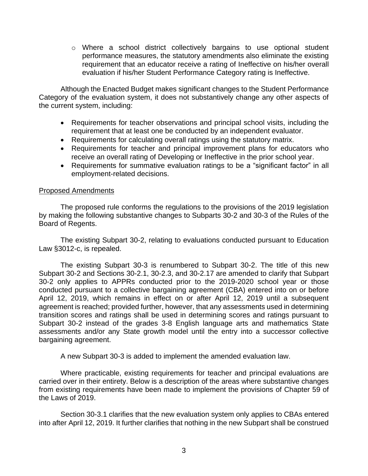o Where a school district collectively bargains to use optional student performance measures, the statutory amendments also eliminate the existing requirement that an educator receive a rating of Ineffective on his/her overall evaluation if his/her Student Performance Category rating is Ineffective.

Although the Enacted Budget makes significant changes to the Student Performance Category of the evaluation system, it does not substantively change any other aspects of the current system, including:

- Requirements for teacher observations and principal school visits, including the requirement that at least one be conducted by an independent evaluator.
- Requirements for calculating overall ratings using the statutory matrix.
- Requirements for teacher and principal improvement plans for educators who receive an overall rating of Developing or Ineffective in the prior school year.
- Requirements for summative evaluation ratings to be a "significant factor" in all employment-related decisions.

#### Proposed Amendments

The proposed rule conforms the regulations to the provisions of the 2019 legislation by making the following substantive changes to Subparts 30-2 and 30-3 of the Rules of the Board of Regents.

The existing Subpart 30-2, relating to evaluations conducted pursuant to Education Law §3012-c, is repealed.

The existing Subpart 30-3 is renumbered to Subpart 30-2. The title of this new Subpart 30-2 and Sections 30-2.1, 30-2.3, and 30-2.17 are amended to clarify that Subpart 30-2 only applies to APPRs conducted prior to the 2019-2020 school year or those conducted pursuant to a collective bargaining agreement (CBA) entered into on or before April 12, 2019, which remains in effect on or after April 12, 2019 until a subsequent agreement is reached; provided further, however, that any assessments used in determining transition scores and ratings shall be used in determining scores and ratings pursuant to Subpart 30-2 instead of the grades 3-8 English language arts and mathematics State assessments and/or any State growth model until the entry into a successor collective bargaining agreement.

A new Subpart 30-3 is added to implement the amended evaluation law.

Where practicable, existing requirements for teacher and principal evaluations are carried over in their entirety. Below is a description of the areas where substantive changes from existing requirements have been made to implement the provisions of Chapter 59 of the Laws of 2019.

Section 30-3.1 clarifies that the new evaluation system only applies to CBAs entered into after April 12, 2019. It further clarifies that nothing in the new Subpart shall be construed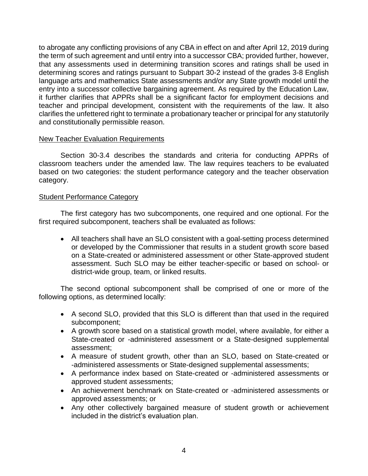to abrogate any conflicting provisions of any CBA in effect on and after April 12, 2019 during the term of such agreement and until entry into a successor CBA; provided further, however, that any assessments used in determining transition scores and ratings shall be used in determining scores and ratings pursuant to Subpart 30-2 instead of the grades 3-8 English language arts and mathematics State assessments and/or any State growth model until the entry into a successor collective bargaining agreement. As required by the Education Law, it further clarifies that APPRs shall be a significant factor for employment decisions and teacher and principal development, consistent with the requirements of the law. It also clarifies the unfettered right to terminate a probationary teacher or principal for any statutorily and constitutionally permissible reason.

#### New Teacher Evaluation Requirements

Section 30-3.4 describes the standards and criteria for conducting APPRs of classroom teachers under the amended law. The law requires teachers to be evaluated based on two categories: the student performance category and the teacher observation category.

#### Student Performance Category

The first category has two subcomponents, one required and one optional. For the first required subcomponent, teachers shall be evaluated as follows:

• All teachers shall have an SLO consistent with a goal-setting process determined or developed by the Commissioner that results in a student growth score based on a State-created or administered assessment or other State-approved student assessment. Such SLO may be either teacher-specific or based on school- or district-wide group, team, or linked results.

The second optional subcomponent shall be comprised of one or more of the following options, as determined locally:

- A second SLO, provided that this SLO is different than that used in the required subcomponent;
- A growth score based on a statistical growth model, where available, for either a State-created or -administered assessment or a State-designed supplemental assessment;
- A measure of student growth, other than an SLO, based on State-created or -administered assessments or State-designed supplemental assessments;
- A performance index based on State-created or -administered assessments or approved student assessments;
- An achievement benchmark on State-created or -administered assessments or approved assessments; or
- Any other collectively bargained measure of student growth or achievement included in the district's evaluation plan.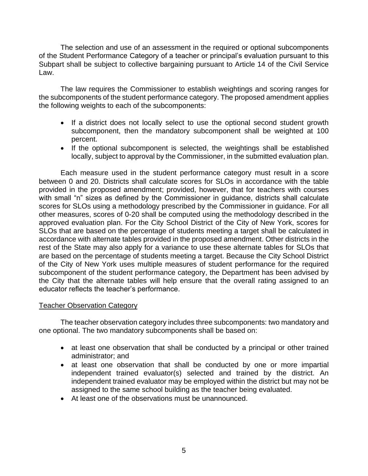The selection and use of an assessment in the required or optional subcomponents of the Student Performance Category of a teacher or principal's evaluation pursuant to this Subpart shall be subject to collective bargaining pursuant to Article 14 of the Civil Service Law.

The law requires the Commissioner to establish weightings and scoring ranges for the subcomponents of the student performance category. The proposed amendment applies the following weights to each of the subcomponents:

- If a district does not locally select to use the optional second student growth subcomponent, then the mandatory subcomponent shall be weighted at 100 percent.
- If the optional subcomponent is selected, the weightings shall be established locally, subject to approval by the Commissioner, in the submitted evaluation plan.

Each measure used in the student performance category must result in a score between 0 and 20. Districts shall calculate scores for SLOs in accordance with the table provided in the proposed amendment; provided, however, that for teachers with courses with small "n" sizes as defined by the Commissioner in guidance, districts shall calculate scores for SLOs using a methodology prescribed by the Commissioner in guidance. For all other measures, scores of 0-20 shall be computed using the methodology described in the approved evaluation plan. For the City School District of the City of New York, scores for SLOs that are based on the percentage of students meeting a target shall be calculated in accordance with alternate tables provided in the proposed amendment. Other districts in the rest of the State may also apply for a variance to use these alternate tables for SLOs that are based on the percentage of students meeting a target. Because the City School District of the City of New York uses multiple measures of student performance for the required subcomponent of the student performance category, the Department has been advised by the City that the alternate tables will help ensure that the overall rating assigned to an educator reflects the teacher's performance.

#### **Teacher Observation Category**

The teacher observation category includes three subcomponents: two mandatory and one optional. The two mandatory subcomponents shall be based on:

- at least one observation that shall be conducted by a principal or other trained administrator; and
- at least one observation that shall be conducted by one or more impartial independent trained evaluator(s) selected and trained by the district. An independent trained evaluator may be employed within the district but may not be assigned to the same school building as the teacher being evaluated.
- At least one of the observations must be unannounced.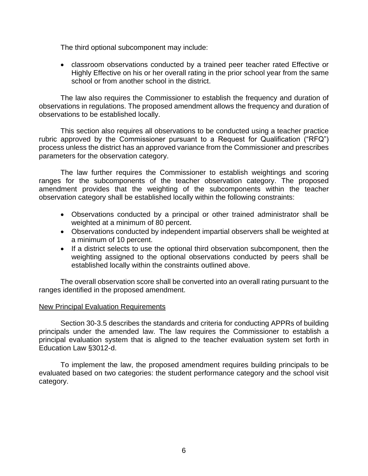The third optional subcomponent may include:

• classroom observations conducted by a trained peer teacher rated Effective or Highly Effective on his or her overall rating in the prior school year from the same school or from another school in the district.

The law also requires the Commissioner to establish the frequency and duration of observations in regulations. The proposed amendment allows the frequency and duration of observations to be established locally.

This section also requires all observations to be conducted using a teacher practice rubric approved by the Commissioner pursuant to a Request for Qualification ("RFQ") process unless the district has an approved variance from the Commissioner and prescribes parameters for the observation category.

The law further requires the Commissioner to establish weightings and scoring ranges for the subcomponents of the teacher observation category. The proposed amendment provides that the weighting of the subcomponents within the teacher observation category shall be established locally within the following constraints:

- Observations conducted by a principal or other trained administrator shall be weighted at a minimum of 80 percent.
- Observations conducted by independent impartial observers shall be weighted at a minimum of 10 percent.
- If a district selects to use the optional third observation subcomponent, then the weighting assigned to the optional observations conducted by peers shall be established locally within the constraints outlined above.

The overall observation score shall be converted into an overall rating pursuant to the ranges identified in the proposed amendment.

#### New Principal Evaluation Requirements

Section 30-3.5 describes the standards and criteria for conducting APPRs of building principals under the amended law. The law requires the Commissioner to establish a principal evaluation system that is aligned to the teacher evaluation system set forth in Education Law §3012-d.

To implement the law, the proposed amendment requires building principals to be evaluated based on two categories: the student performance category and the school visit category.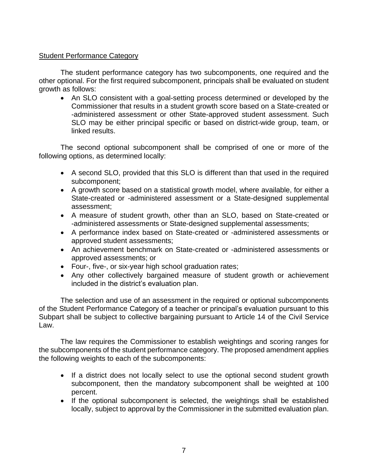#### Student Performance Category

The student performance category has two subcomponents, one required and the other optional. For the first required subcomponent, principals shall be evaluated on student growth as follows:

• An SLO consistent with a goal-setting process determined or developed by the Commissioner that results in a student growth score based on a State-created or -administered assessment or other State-approved student assessment. Such SLO may be either principal specific or based on district-wide group, team, or linked results.

The second optional subcomponent shall be comprised of one or more of the following options, as determined locally:

- A second SLO, provided that this SLO is different than that used in the required subcomponent;
- A growth score based on a statistical growth model, where available, for either a State-created or -administered assessment or a State-designed supplemental assessment;
- A measure of student growth, other than an SLO, based on State-created or -administered assessments or State-designed supplemental assessments;
- A performance index based on State-created or -administered assessments or approved student assessments;
- An achievement benchmark on State-created or -administered assessments or approved assessments; or
- Four-, five-, or six-year high school graduation rates;
- Any other collectively bargained measure of student growth or achievement included in the district's evaluation plan.

The selection and use of an assessment in the required or optional subcomponents of the Student Performance Category of a teacher or principal's evaluation pursuant to this Subpart shall be subject to collective bargaining pursuant to Article 14 of the Civil Service Law.

The law requires the Commissioner to establish weightings and scoring ranges for the subcomponents of the student performance category. The proposed amendment applies the following weights to each of the subcomponents:

- If a district does not locally select to use the optional second student growth subcomponent, then the mandatory subcomponent shall be weighted at 100 percent.
- If the optional subcomponent is selected, the weightings shall be established locally, subject to approval by the Commissioner in the submitted evaluation plan.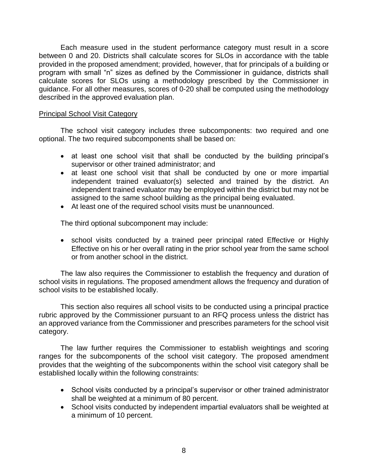Each measure used in the student performance category must result in a score between 0 and 20. Districts shall calculate scores for SLOs in accordance with the table provided in the proposed amendment; provided, however, that for principals of a building or program with small "n" sizes as defined by the Commissioner in guidance, districts shall calculate scores for SLOs using a methodology prescribed by the Commissioner in guidance. For all other measures, scores of 0-20 shall be computed using the methodology described in the approved evaluation plan.

#### Principal School Visit Category

The school visit category includes three subcomponents: two required and one optional. The two required subcomponents shall be based on:

- at least one school visit that shall be conducted by the building principal's supervisor or other trained administrator; and
- at least one school visit that shall be conducted by one or more impartial independent trained evaluator(s) selected and trained by the district. An independent trained evaluator may be employed within the district but may not be assigned to the same school building as the principal being evaluated.
- At least one of the required school visits must be unannounced.

The third optional subcomponent may include:

• school visits conducted by a trained peer principal rated Effective or Highly Effective on his or her overall rating in the prior school year from the same school or from another school in the district.

The law also requires the Commissioner to establish the frequency and duration of school visits in regulations. The proposed amendment allows the frequency and duration of school visits to be established locally.

This section also requires all school visits to be conducted using a principal practice rubric approved by the Commissioner pursuant to an RFQ process unless the district has an approved variance from the Commissioner and prescribes parameters for the school visit category.

The law further requires the Commissioner to establish weightings and scoring ranges for the subcomponents of the school visit category. The proposed amendment provides that the weighting of the subcomponents within the school visit category shall be established locally within the following constraints:

- School visits conducted by a principal's supervisor or other trained administrator shall be weighted at a minimum of 80 percent.
- School visits conducted by independent impartial evaluators shall be weighted at a minimum of 10 percent.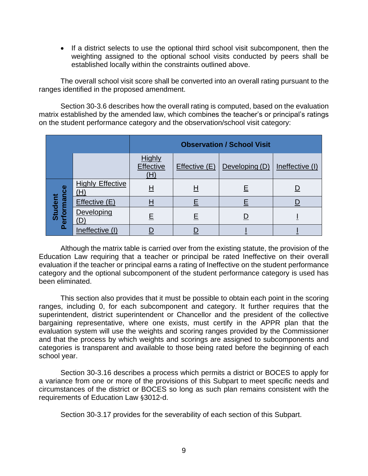• If a district selects to use the optional third school visit subcomponent, then the weighting assigned to the optional school visits conducted by peers shall be established locally within the constraints outlined above.

The overall school visit score shall be converted into an overall rating pursuant to the ranges identified in the proposed amendment.

Section 30-3.6 describes how the overall rating is computed, based on the evaluation matrix established by the amended law, which combines the teacher's or principal's ratings on the student performance category and the observation/school visit category:

|                       |                               | <b>Observation / School Visit</b> |               |                |                 |
|-----------------------|-------------------------------|-----------------------------------|---------------|----------------|-----------------|
|                       |                               | <b>Highly</b><br>Effective<br>(H) | Effective (E) | Developing (D) | Ineffective (I) |
| erformance<br>Student | <b>Highly Effective</b><br>H) | Η                                 | Н             |                |                 |
|                       | Effective (E)                 | $\underline{\mathsf{H}}$          |               |                |                 |
|                       | Developing                    | Е                                 | Ε             |                |                 |
| o.                    | Ineffective (I)               |                                   |               |                |                 |

Although the matrix table is carried over from the existing statute, the provision of the Education Law requiring that a teacher or principal be rated Ineffective on their overall evaluation if the teacher or principal earns a rating of Ineffective on the student performance category and the optional subcomponent of the student performance category is used has been eliminated.

This section also provides that it must be possible to obtain each point in the scoring ranges, including 0, for each subcomponent and category. It further requires that the superintendent, district superintendent or Chancellor and the president of the collective bargaining representative, where one exists, must certify in the APPR plan that the evaluation system will use the weights and scoring ranges provided by the Commissioner and that the process by which weights and scorings are assigned to subcomponents and categories is transparent and available to those being rated before the beginning of each school year.

Section 30-3.16 describes a process which permits a district or BOCES to apply for a variance from one or more of the provisions of this Subpart to meet specific needs and circumstances of the district or BOCES so long as such plan remains consistent with the requirements of Education Law §3012-d.

Section 30-3.17 provides for the severability of each section of this Subpart.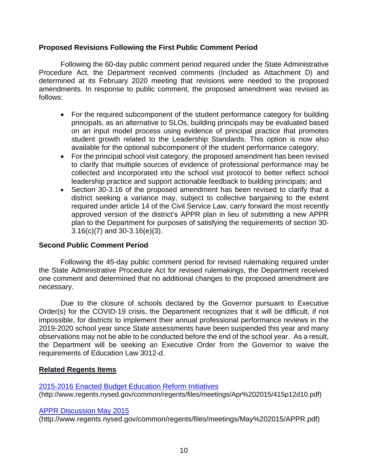#### **Proposed Revisions Following the First Public Comment Period**

Following the 60-day public comment period required under the State Administrative Procedure Act, the Department received comments (Included as Attachment D) and determined at its February 2020 meeting that revisions were needed to the proposed amendments. In response to public comment, the proposed amendment was revised as follows:

- For the required subcomponent of the student performance category for building principals, as an alternative to SLOs, building principals may be evaluated based on an input model process using evidence of principal practice that promotes student growth related to the Leadership Standards. This option is now also available for the optional subcomponent of the student performance category;
- For the principal school visit category, the proposed amendment has been revised to clarify that multiple sources of evidence of professional performance may be collected and incorporated into the school visit protocol to better reflect school leadership practice and support actionable feedback to building principals; and
- Section 30-3.16 of the proposed amendment has been revised to clarify that a district seeking a variance may, subject to collective bargaining to the extent required under article 14 of the Civil Service Law, carry forward the most recently approved version of the district's APPR plan in lieu of submitting a new APPR plan to the Department for purposes of satisfying the requirements of section 30- 3.16(c)(7) and 30-3.16(e)(3).

#### **Second Public Comment Period**

Following the 45-day public comment period for revised rulemaking required under the State Administrative Procedure Act for revised rulemakings, the Department received one comment and determined that no additional changes to the proposed amendment are necessary.

Due to the closure of schools declared by the Governor pursuant to Executive Order(s) for the COVID-19 crisis, the Department recognizes that it will be difficult, if not impossible, for districts to implement their annual professional performance reviews in the 2019-2020 school year since State assessments have been suspended this year and many observations may not be able to be conducted before the end of the school year. As a result, the Department will be seeking an Executive Order from the Governor to waive the requirements of Education Law 3012-d.

#### **Related Regents Items**

[2015-2016 Enacted Budget Education Reform Initiatives](http://www.regents.nysed.gov/common/regents/files/meetings/Apr%202015/415p12d10.pdf) [\(http://www.regents.nysed.gov/common/regents/files/meetings/Apr%202015/415p12d10.pdf\)](http://www.regents.nysed.gov/common/regents/files/meetings/Apr%202015/415p12d10.pdf)

#### [APPR Discussion May 2015](http://www.regents.nysed.gov/common/regents/files/meetings/May%202015/APPR.pdf)

(http://www.regents.nysed.gov/common/regents/files/meetings/May%202015/APPR.pdf)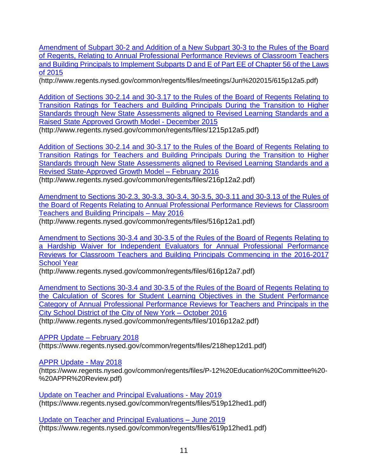Amendment of Subpart 30-2 and Addition of a New Subpart 30-3 to the Rules of the Board of Regents, Relating to Annual Professional Performance Reviews of Classroom Teachers and Building Principals to Implement Subparts D and E of Part EE of Chapter 56 of the Laws of 2015

(http://www.regents.nysed.gov/common/regents/files/meetings/Jun%202015/615p12a5.pdf)

[Addition of Sections 30-2.14 and 30-3.17 to the Rules of the Board of Regents Relating to](http://www.regents.nysed.gov/common/regents/files/1215p12a5.pdf)  [Transition Ratings for Teachers and Building Principals During the Transition to Higher](http://www.regents.nysed.gov/common/regents/files/1215p12a5.pdf)  [Standards through New State Assessments aligned to Revised Learning Standards and a](http://www.regents.nysed.gov/common/regents/files/1215p12a5.pdf)  [Raised State Approved Growth Model](http://www.regents.nysed.gov/common/regents/files/1215p12a5.pdf) - December 2015 (http://www.regents.nysed.gov/common/regents/files/1215p12a5.pdf)

[Addition of Sections 30-2.14 and 30-3.17 to the Rules of the Board of Regents Relating to](http://www.regents.nysed.gov/common/regents/files/216p12a2.pdf)  [Transition Ratings for Teachers and Building Principals During the Transition to Higher](http://www.regents.nysed.gov/common/regents/files/216p12a2.pdf)  [Standards through New State Assessments aligned to Revised Learning Standards and a](http://www.regents.nysed.gov/common/regents/files/216p12a2.pdf)  [Revised State-Approved Growth Model](http://www.regents.nysed.gov/common/regents/files/216p12a2.pdf) – February 2016 (http://www.regents.nysed.gov/common/regents/files/216p12a2.pdf)

[Amendment to Sections 30-2.3, 30-3.3, 30-3.4, 30-3.5, 30-3.11 and 30-3.13 of the Rules of](http://www.regents.nysed.gov/common/regents/files/516p12a1.pdf)  [the Board of Regents Relating to Annual Professional Performance Reviews for Classroom](http://www.regents.nysed.gov/common/regents/files/516p12a1.pdf) Teachers and Building Principals – May 2016

(http://www.regents.nysed.gov/common/regents/files/516p12a1.pdf)

[Amendment to Sections 30-3.4 and 30-3.5 of the Rules of the Board of Regents Relating to](http://www.regents.nysed.gov/common/regents/files/616p12a7.pdf)  [a Hardship Waiver for Independent Evaluators for Annual Professional Performance](http://www.regents.nysed.gov/common/regents/files/616p12a7.pdf)  [Reviews for Classroom Teachers and Building Principals Commencing in the 2016-2017](http://www.regents.nysed.gov/common/regents/files/616p12a7.pdf)  [School Year](http://www.regents.nysed.gov/common/regents/files/616p12a7.pdf)

(http://www.regents.nysed.gov/common/regents/files/616p12a7.pdf)

Amendment to Sections 30-3.4 and 30-3.5 [of the Rules of the Board of Regents Relating to](http://www.regents.nysed.gov/common/regents/files/1016p12a2.pdf)  [the Calculation of Scores for Student Learning Objectives in the Student Performance](http://www.regents.nysed.gov/common/regents/files/1016p12a2.pdf)  [Category of Annual Professional Performance Reviews for Teachers and Principals in the](http://www.regents.nysed.gov/common/regents/files/1016p12a2.pdf)  [City School District of the City of New York –](http://www.regents.nysed.gov/common/regents/files/1016p12a2.pdf) October 2016 (http://www.regents.nysed.gov/common/regents/files/1016p12a2.pdf)

[APPR Update –](https://www.regents.nysed.gov/common/regents/files/218hep12d1.pdf) February 2018

(https://www.regents.nysed.gov/common/regents/files/218hep12d1.pdf)

[APPR Update -](https://www.regents.nysed.gov/common/regents/files/P-12%20Education%20Committee%20-%20APPR%20Review.pdf) May 2018

(https://www.regents.nysed.gov/common/regents/files/P-12%20Education%20Committee%20- %20APPR%20Review.pdf)

[Update on Teacher and Principal Evaluations -](https://www.regents.nysed.gov/common/regents/files/519p12hed1.pdf) May 2019 (https://www.regents.nysed.gov/common/regents/files/519p12hed1.pdf)

[Update on Teacher and Principal Evaluations –](https://www.regents.nysed.gov/common/regents/files/619p12hed1.pdf) June 2019 (https://www.regents.nysed.gov/common/regents/files/619p12hed1.pdf)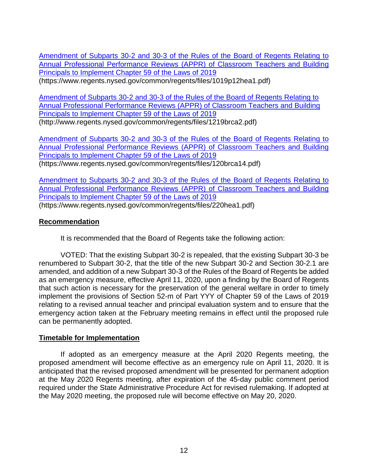[Amendment of Subparts 30-2 and 30-3 of the Rules of the Board of Regents Relating to](https://www.regents.nysed.gov/common/regents/files/1019p12hea1.pdf)  [Annual Professional Performance Reviews \(APPR\) of Classroom Teachers and Building](https://www.regents.nysed.gov/common/regents/files/1019p12hea1.pdf)  [Principals to Implement Chapter 59 of the Laws of 2019](https://www.regents.nysed.gov/common/regents/files/1019p12hea1.pdf)

(https://www.regents.nysed.gov/common/regents/files/1019p12hea1.pdf)

[Amendment of Subparts 30-2 and 30-3 of the Rules of the Board of Regents Relating to](http://www.regents.nysed.gov/common/regents/files/1219brca2.pdf)  [Annual Professional Performance Reviews \(APPR\) of Classroom Teachers and Building](http://www.regents.nysed.gov/common/regents/files/1219brca2.pdf)  [Principals to Implement Chapter 59 of the Laws of 2019](http://www.regents.nysed.gov/common/regents/files/1219brca2.pdf) (http://www.regents.nysed.gov/common/regents/files/1219brca2.pdf)

[Amendment of Subparts 30-2 and 30-3 of the Rules of the Board of Regents Relating to](https://www.regents.nysed.gov/common/regents/files/120brca14.pdf)  [Annual Professional Performance Reviews \(APPR\) of Classroom Teachers and Building](https://www.regents.nysed.gov/common/regents/files/120brca14.pdf)  Principals [to Implement Chapter 59 of the Laws of 2019](https://www.regents.nysed.gov/common/regents/files/120brca14.pdf) (https://www.regents.nysed.gov/common/regents/files/120brca14.pdf)

[Amendment to Subparts 30-2 and 30-3 of the Rules of the Board of](https://www.regents.nysed.gov/common/regents/files/220hea1.pdf) Regents Relating to [Annual Professional Performance Reviews \(APPR\) of Classroom Teachers and Building](https://www.regents.nysed.gov/common/regents/files/220hea1.pdf)  [Principals to Implement Chapter 59 of the Laws of 2019](https://www.regents.nysed.gov/common/regents/files/220hea1.pdf) (https://www.regents.nysed.gov/common/regents/files/220hea1.pdf)

#### **Recommendation**

It is recommended that the Board of Regents take the following action:

VOTED: That the existing Subpart 30-2 is repealed, that the existing Subpart 30-3 be renumbered to Subpart 30-2, that the title of the new Subpart 30-2 and Section 30-2.1 are amended, and addition of a new Subpart 30-3 of the Rules of the Board of Regents be added as an emergency measure, effective April 11, 2020, upon a finding by the Board of Regents that such action is necessary for the preservation of the general welfare in order to timely implement the provisions of Section 52-m of Part YYY of Chapter 59 of the Laws of 2019 relating to a revised annual teacher and principal evaluation system and to ensure that the emergency action taken at the February meeting remains in effect until the proposed rule can be permanently adopted.

#### **Timetable for Implementation**

If adopted as an emergency measure at the April 2020 Regents meeting, the proposed amendment will become effective as an emergency rule on April 11, 2020. It is anticipated that the revised proposed amendment will be presented for permanent adoption at the May 2020 Regents meeting, after expiration of the 45-day public comment period required under the State Administrative Procedure Act for revised rulemaking. If adopted at the May 2020 meeting, the proposed rule will become effective on May 20, 2020.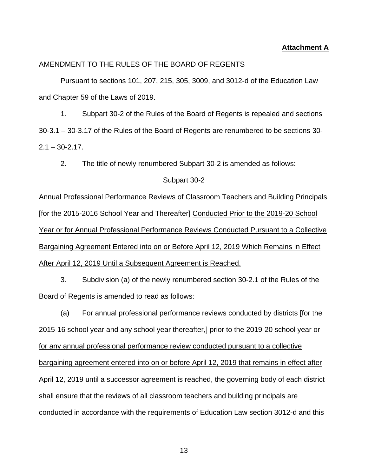#### **Attachment A**

#### AMENDMENT TO THE RULES OF THE BOARD OF REGENTS

Pursuant to sections 101, 207, 215, 305, 3009, and 3012-d of the Education Law and Chapter 59 of the Laws of 2019.

1. Subpart 30-2 of the Rules of the Board of Regents is repealed and sections 30-3.1 – 30-3.17 of the Rules of the Board of Regents are renumbered to be sections 30-  $2.1 - 30 - 2.17$ .

2. The title of newly renumbered Subpart 30-2 is amended as follows:

#### Subpart 30-2

Annual Professional Performance Reviews of Classroom Teachers and Building Principals [for the 2015-2016 School Year and Thereafter] Conducted Prior to the 2019-20 School Year or for Annual Professional Performance Reviews Conducted Pursuant to a Collective Bargaining Agreement Entered into on or Before April 12, 2019 Which Remains in Effect After April 12, 2019 Until a Subsequent Agreement is Reached.

3. Subdivision (a) of the newly renumbered section 30-2.1 of the Rules of the Board of Regents is amended to read as follows:

(a) For annual professional performance reviews conducted by districts [for the 2015-16 school year and any school year thereafter,] prior to the 2019-20 school year or for any annual professional performance review conducted pursuant to a collective bargaining agreement entered into on or before April 12, 2019 that remains in effect after April 12, 2019 until a successor agreement is reached, the governing body of each district shall ensure that the reviews of all classroom teachers and building principals are conducted in accordance with the requirements of Education Law section 3012-d and this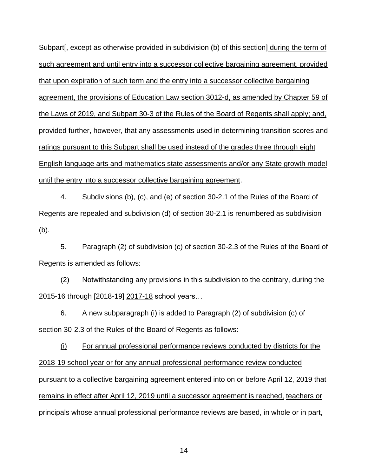Subpart[, except as otherwise provided in subdivision (b) of this section] during the term of such agreement and until entry into a successor collective bargaining agreement, provided that upon expiration of such term and the entry into a successor collective bargaining agreement, the provisions of Education Law section 3012-d, as amended by Chapter 59 of the Laws of 2019, and Subpart 30-3 of the Rules of the Board of Regents shall apply; and, provided further, however, that any assessments used in determining transition scores and ratings pursuant to this Subpart shall be used instead of the grades three through eight English language arts and mathematics state assessments and/or any State growth model until the entry into a successor collective bargaining agreement.

4. Subdivisions (b), (c), and (e) of section 30-2.1 of the Rules of the Board of Regents are repealed and subdivision (d) of section 30-2.1 is renumbered as subdivision (b).

5. Paragraph (2) of subdivision (c) of section 30-2.3 of the Rules of the Board of Regents is amended as follows:

(2) Notwithstanding any provisions in this subdivision to the contrary, during the 2015-16 through [2018-19] 2017-18 school years…

6. A new subparagraph (i) is added to Paragraph (2) of subdivision (c) of section 30-2.3 of the Rules of the Board of Regents as follows:

(i) For annual professional performance reviews conducted by districts for the 2018-19 school year or for any annual professional performance review conducted pursuant to a collective bargaining agreement entered into on or before April 12, 2019 that remains in effect after April 12, 2019 until a successor agreement is reached, teachers or principals whose annual professional performance reviews are based, in whole or in part,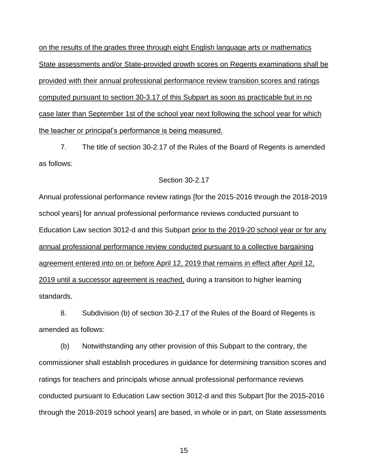on the results of the grades three through eight English language arts or mathematics State assessments and/or State-provided growth scores on Regents examinations shall be provided with their annual professional performance review transition scores and ratings computed pursuant to section 30-3.17 of this Subpart as soon as practicable but in no case later than September 1st of the school year next following the school year for which the teacher or principal's performance is being measured.

7. The title of section 30-2.17 of the Rules of the Board of Regents is amended as follows:

#### Section 30-2.17

Annual professional performance review ratings [for the 2015-2016 through the 2018-2019 school years] for annual professional performance reviews conducted pursuant to Education Law section 3012-d and this Subpart prior to the 2019-20 school year or for any annual professional performance review conducted pursuant to a collective bargaining agreement entered into on or before April 12, 2019 that remains in effect after April 12, 2019 until a successor agreement is reached, during a transition to higher learning standards.

8. Subdivision (b) of section 30-2.17 of the Rules of the Board of Regents is amended as follows:

(b) Notwithstanding any other provision of this Subpart to the contrary, the commissioner shall establish procedures in guidance for determining transition scores and ratings for teachers and principals whose annual professional performance reviews conducted pursuant to Education Law section 3012-d and this Subpart [for the 2015-2016 through the 2018-2019 school years] are based, in whole or in part, on State assessments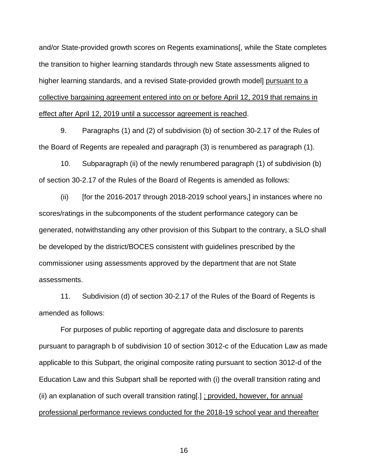and/or State-provided growth scores on Regents examinations[, while the State completes the transition to higher learning standards through new State assessments aligned to higher learning standards, and a revised State-provided growth model] pursuant to a collective bargaining agreement entered into on or before April 12, 2019 that remains in effect after April 12, 2019 until a successor agreement is reached.

9. Paragraphs (1) and (2) of subdivision (b) of section 30-2.17 of the Rules of the Board of Regents are repealed and paragraph (3) is renumbered as paragraph (1).

10. Subparagraph (ii) of the newly renumbered paragraph (1) of subdivision (b) of section 30-2.17 of the Rules of the Board of Regents is amended as follows:

(ii) [for the 2016-2017 through 2018-2019 school years,] in instances where no scores/ratings in the subcomponents of the student performance category can be generated, notwithstanding any other provision of this Subpart to the contrary, a SLO shall be developed by the district/BOCES consistent with guidelines prescribed by the commissioner using assessments approved by the department that are not State assessments.

11. Subdivision (d) of section 30-2.17 of the Rules of the Board of Regents is amended as follows:

For purposes of public reporting of aggregate data and disclosure to parents pursuant to paragraph b of subdivision 10 of section 3012-c of the Education Law as made applicable to this Subpart, the original composite rating pursuant to section 3012-d of the Education Law and this Subpart shall be reported with (i) the overall transition rating and (ii) an explanation of such overall transition rating[.] ; provided, however, for annual professional performance reviews conducted for the 2018-19 school year and thereafter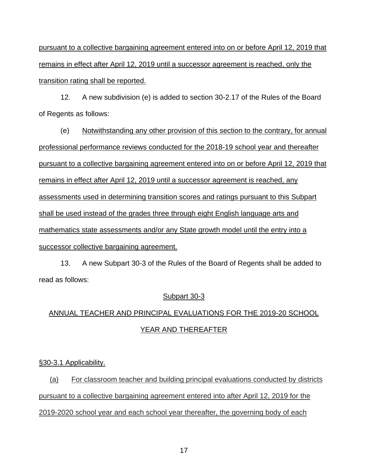pursuant to a collective bargaining agreement entered into on or before April 12, 2019 that remains in effect after April 12, 2019 until a successor agreement is reached, only the transition rating shall be reported.

12. A new subdivision (e) is added to section 30-2.17 of the Rules of the Board of Regents as follows:

(e) Notwithstanding any other provision of this section to the contrary, for annual professional performance reviews conducted for the 2018-19 school year and thereafter pursuant to a collective bargaining agreement entered into on or before April 12, 2019 that remains in effect after April 12, 2019 until a successor agreement is reached, any assessments used in determining transition scores and ratings pursuant to this Subpart shall be used instead of the grades three through eight English language arts and mathematics state assessments and/or any State growth model until the entry into a successor collective bargaining agreement.

13. A new Subpart 30-3 of the Rules of the Board of Regents shall be added to read as follows:

#### Subpart 30-3

# ANNUAL TEACHER AND PRINCIPAL EVALUATIONS FOR THE 2019-20 SCHOOL YEAR AND THEREAFTER

§30-3.1 Applicability.

(a) For classroom teacher and building principal evaluations conducted by districts pursuant to a collective bargaining agreement entered into after April 12, 2019 for the 2019-2020 school year and each school year thereafter, the governing body of each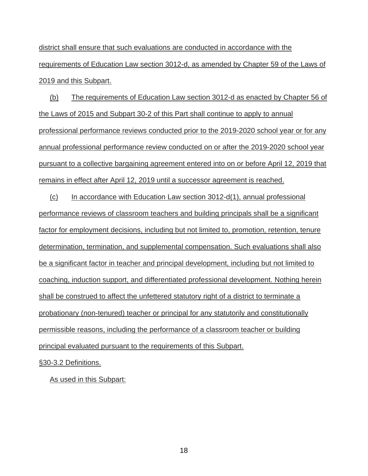district shall ensure that such evaluations are conducted in accordance with the requirements of Education Law section 3012-d, as amended by Chapter 59 of the Laws of 2019 and this Subpart.

(b) The requirements of Education Law section 3012-d as enacted by Chapter 56 of the Laws of 2015 and Subpart 30-2 of this Part shall continue to apply to annual professional performance reviews conducted prior to the 2019-2020 school year or for any annual professional performance review conducted on or after the 2019-2020 school year pursuant to a collective bargaining agreement entered into on or before April 12, 2019 that remains in effect after April 12, 2019 until a successor agreement is reached.

(c) In accordance with Education Law section 3012-d(1), annual professional performance reviews of classroom teachers and building principals shall be a significant factor for employment decisions, including but not limited to, promotion, retention, tenure determination, termination, and supplemental compensation. Such evaluations shall also be a significant factor in teacher and principal development, including but not limited to coaching, induction support, and differentiated professional development. Nothing herein shall be construed to affect the unfettered statutory right of a district to terminate a probationary (non-tenured) teacher or principal for any statutorily and constitutionally permissible reasons, including the performance of a classroom teacher or building principal evaluated pursuant to the requirements of this Subpart.

§30-3.2 Definitions.

As used in this Subpart: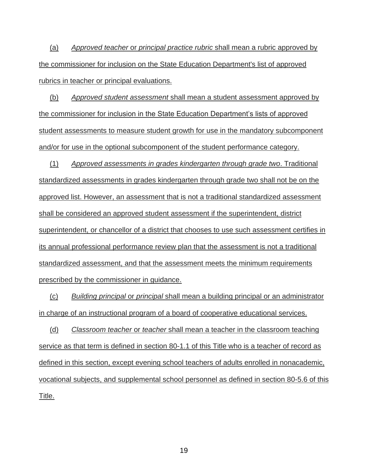(a) *Approved teacher* or *principal practice rubric* shall mean a rubric approved by the commissioner for inclusion on the State Education Department's list of approved rubrics in teacher or principal evaluations.

(b) *Approved student assessment* shall mean a student assessment approved by the commissioner for inclusion in the State Education Department's lists of approved student assessments to measure student growth for use in the mandatory subcomponent and/or for use in the optional subcomponent of the student performance category.

(1) *Approved assessments in grades kindergarten through grade two*. Traditional standardized assessments in grades kindergarten through grade two shall not be on the approved list. However, an assessment that is not a traditional standardized assessment shall be considered an approved student assessment if the superintendent, district superintendent, or chancellor of a district that chooses to use such assessment certifies in its annual professional performance review plan that the assessment is not a traditional standardized assessment, and that the assessment meets the minimum requirements prescribed by the commissioner in guidance.

(c) *Building principal* or *principal* shall mean a building principal or an administrator in charge of an instructional program of a board of cooperative educational services.

(d) *Classroom teacher* or *teacher* shall mean a teacher in the classroom teaching service as that term is defined in section 80-1.1 of this Title who is a teacher of record as defined in this section, except evening school teachers of adults enrolled in nonacademic, vocational subjects, and supplemental school personnel as defined in section 80-5.6 of this Title.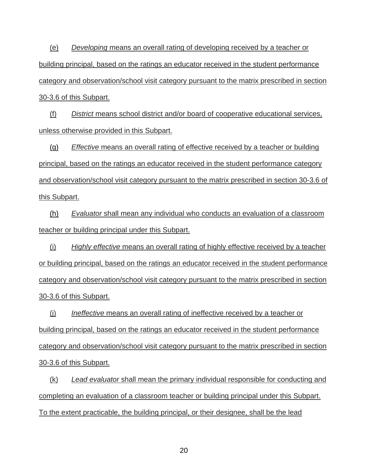(e) *Developing* means an overall rating of developing received by a teacher or building principal, based on the ratings an educator received in the student performance category and observation/school visit category pursuant to the matrix prescribed in section 30-3.6 of this Subpart.

(f) *District* means school district and/or board of cooperative educational services, unless otherwise provided in this Subpart.

(g) *Effective* means an overall rating of effective received by a teacher or building principal, based on the ratings an educator received in the student performance category and observation/school visit category pursuant to the matrix prescribed in section 30-3.6 of this Subpart.

(h) *Evaluator* shall mean any individual who conducts an evaluation of a classroom teacher or building principal under this Subpart.

(i) *Highly effective* means an overall rating of highly effective received by a teacher or building principal, based on the ratings an educator received in the student performance category and observation/school visit category pursuant to the matrix prescribed in section 30-3.6 of this Subpart.

(j) *Ineffective* means an overall rating of ineffective received by a teacher or building principal, based on the ratings an educator received in the student performance category and observation/school visit category pursuant to the matrix prescribed in section 30-3.6 of this Subpart.

(k) *Lead evaluator* shall mean the primary individual responsible for conducting and completing an evaluation of a classroom teacher or building principal under this Subpart. To the extent practicable, the building principal, or their designee, shall be the lead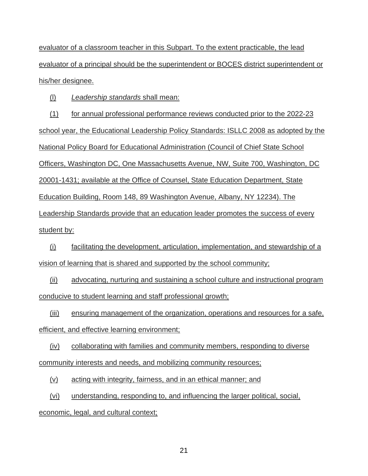evaluator of a classroom teacher in this Subpart. To the extent practicable, the lead evaluator of a principal should be the superintendent or BOCES district superintendent or his/her designee.

(l) *Leadership standards* shall mean:

(1) for annual professional performance reviews conducted prior to the 2022-23 school year, the Educational Leadership Policy Standards: ISLLC 2008 as adopted by the National Policy Board for Educational Administration (Council of Chief State School Officers, Washington DC, One Massachusetts Avenue, NW, Suite 700, Washington, DC 20001-1431; available at the Office of Counsel, State Education Department, State Education Building, Room 148, 89 Washington Avenue, Albany, NY 12234). The Leadership Standards provide that an education leader promotes the success of every student by:

(i) facilitating the development, articulation, implementation, and stewardship of a vision of learning that is shared and supported by the school community;

(ii) advocating, nurturing and sustaining a school culture and instructional program conducive to student learning and staff professional growth;

(iii) ensuring management of the organization, operations and resources for a safe, efficient, and effective learning environment;

(iv) collaborating with families and community members, responding to diverse community interests and needs, and mobilizing community resources;

(v) acting with integrity, fairness, and in an ethical manner; and

(vi) understanding, responding to, and influencing the larger political, social,

economic, legal, and cultural context;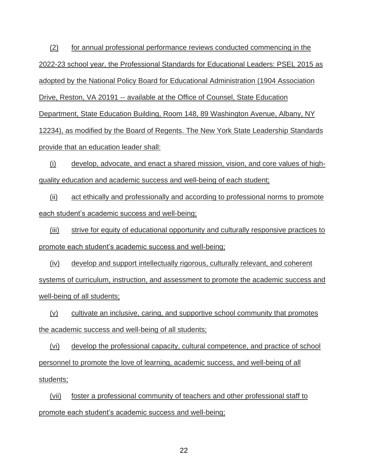(2) for annual professional performance reviews conducted commencing in the 2022-23 school year, the Professional Standards for Educational Leaders: PSEL 2015 as adopted by the National Policy Board for Educational Administration (1904 Association Drive, Reston, VA 20191 -- available at the Office of Counsel, State Education Department, State Education Building, Room 148, 89 Washington Avenue, Albany, NY 12234), as modified by the Board of Regents. The New York State Leadership Standards provide that an education leader shall:

(i) develop, advocate, and enact a shared mission, vision, and core values of highquality education and academic success and well-being of each student;

(ii) act ethically and professionally and according to professional norms to promote each student's academic success and well-being;

(iii) strive for equity of educational opportunity and culturally responsive practices to promote each student's academic success and well-being;

(iv) develop and support intellectually rigorous, culturally relevant, and coherent systems of curriculum, instruction, and assessment to promote the academic success and well-being of all students;

(v) cultivate an inclusive, caring, and supportive school community that promotes the academic success and well-being of all students;

(vi) develop the professional capacity, cultural competence, and practice of school personnel to promote the love of learning, academic success, and well-being of all students;

(vii) foster a professional community of teachers and other professional staff to promote each student's academic success and well-being;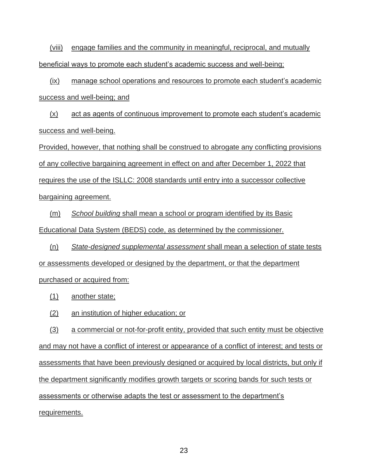(viii) engage families and the community in meaningful, reciprocal, and mutually beneficial ways to promote each student's academic success and well-being;

(ix) manage school operations and resources to promote each student's academic success and well-being; and

(x) act as agents of continuous improvement to promote each student's academic success and well-being.

Provided, however, that nothing shall be construed to abrogate any conflicting provisions of any collective bargaining agreement in effect on and after December 1, 2022 that requires the use of the ISLLC: 2008 standards until entry into a successor collective bargaining agreement.

(m) *School building* shall mean a school or program identified by its Basic Educational Data System (BEDS) code, as determined by the commissioner.

(n) *State-designed supplemental assessment* shall mean a selection of state tests or assessments developed or designed by the department, or that the department purchased or acquired from:

- (1) another state;
- (2) an institution of higher education; or

(3) a commercial or not-for-profit entity, provided that such entity must be objective and may not have a conflict of interest or appearance of a conflict of interest; and tests or assessments that have been previously designed or acquired by local districts, but only if the department significantly modifies growth targets or scoring bands for such tests or assessments or otherwise adapts the test or assessment to the department's requirements.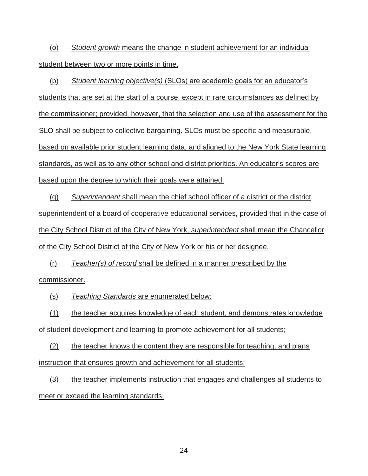(o) *Student growth* means the change in student achievement for an individual student between two or more points in time.

(p) *Student learning objective(s)* (SLOs) are academic goals for an educator's students that are set at the start of a course, except in rare circumstances as defined by the commissioner; provided, however, that the selection and use of the assessment for the SLO shall be subject to collective bargaining. SLOs must be specific and measurable, based on available prior student learning data, and aligned to the New York State learning standards, as well as to any other school and district priorities. An educator's scores are based upon the degree to which their goals were attained.

(q) *Superintendent* shall mean the chief school officer of a district or the district superintendent of a board of cooperative educational services, provided that in the case of the City School District of the City of New York, *superintendent* shall mean the Chancellor of the City School District of the City of New York or his or her designee.

(r) *Teacher(s) of record* shall be defined in a manner prescribed by the commissioner.

(s) *Teaching Standards* are enumerated below:

(1) the teacher acquires knowledge of each student, and demonstrates knowledge of student development and learning to promote achievement for all students;

(2) the teacher knows the content they are responsible for teaching, and plans instruction that ensures growth and achievement for all students;

(3) the teacher implements instruction that engages and challenges all students to meet or exceed the learning standards;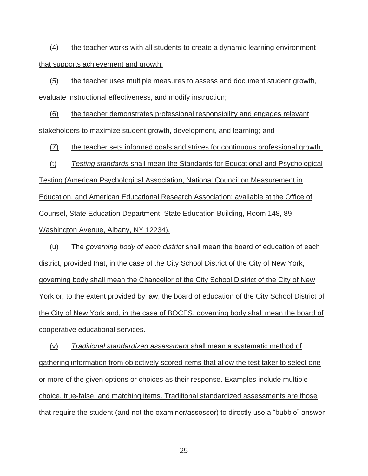(4) the teacher works with all students to create a dynamic learning environment that supports achievement and growth;

(5) the teacher uses multiple measures to assess and document student growth, evaluate instructional effectiveness, and modify instruction;

(6) the teacher demonstrates professional responsibility and engages relevant stakeholders to maximize student growth, development, and learning; and

(7) the teacher sets informed goals and strives for continuous professional growth.

(t) *Testing standards* shall mean the Standards for Educational and Psychological Testing (American Psychological Association, National Council on Measurement in Education, and American Educational Research Association; available at the Office of Counsel, State Education Department, State Education Building, Room 148, 89 Washington Avenue, Albany, NY 12234).

(u) The *governing body of each district* shall mean the board of education of each district, provided that, in the case of the City School District of the City of New York, governing body shall mean the Chancellor of the City School District of the City of New York or, to the extent provided by law, the board of education of the City School District of the City of New York and, in the case of BOCES, governing body shall mean the board of cooperative educational services.

(v) *Traditional standardized assessment* shall mean a systematic method of gathering information from objectively scored items that allow the test taker to select one or more of the given options or choices as their response. Examples include multiplechoice, true-false, and matching items. Traditional standardized assessments are those that require the student (and not the examiner/assessor) to directly use a "bubble" answer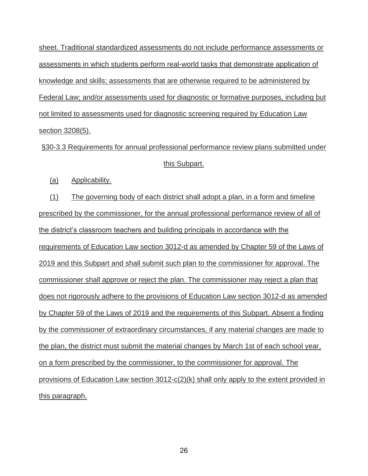sheet. Traditional standardized assessments do not include performance assessments or assessments in which students perform real-world tasks that demonstrate application of knowledge and skills; assessments that are otherwise required to be administered by Federal Law; and/or assessments used for diagnostic or formative purposes, including but not limited to assessments used for diagnostic screening required by Education Law section 3208(5).

§30-3.3 Requirements for annual professional performance review plans submitted under this Subpart.

(a) Applicability.

(1) The governing body of each district shall adopt a plan, in a form and timeline prescribed by the commissioner, for the annual professional performance review of all of the district's classroom teachers and building principals in accordance with the requirements of Education Law section 3012-d as amended by Chapter 59 of the Laws of 2019 and this Subpart and shall submit such plan to the commissioner for approval. The commissioner shall approve or reject the plan. The commissioner may reject a plan that does not rigorously adhere to the provisions of Education Law section 3012-d as amended by Chapter 59 of the Laws of 2019 and the requirements of this Subpart. Absent a finding by the commissioner of extraordinary circumstances, if any material changes are made to the plan, the district must submit the material changes by March 1st of each school year, on a form prescribed by the commissioner, to the commissioner for approval. The provisions of Education Law section 3012-c(2)(k) shall only apply to the extent provided in this paragraph.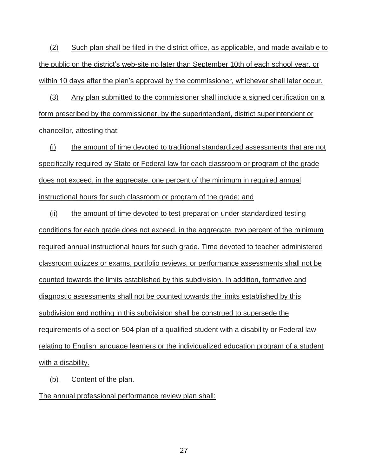(2) Such plan shall be filed in the district office, as applicable, and made available to the public on the district's web-site no later than September 10th of each school year, or within 10 days after the plan's approval by the commissioner, whichever shall later occur.

(3) Any plan submitted to the commissioner shall include a signed certification on a form prescribed by the commissioner, by the superintendent, district superintendent or chancellor, attesting that:

(i) the amount of time devoted to traditional standardized assessments that are not specifically required by State or Federal law for each classroom or program of the grade does not exceed, in the aggregate, one percent of the minimum in required annual instructional hours for such classroom or program of the grade; and

(ii) the amount of time devoted to test preparation under standardized testing conditions for each grade does not exceed, in the aggregate, two percent of the minimum required annual instructional hours for such grade. Time devoted to teacher administered classroom quizzes or exams, portfolio reviews, or performance assessments shall not be counted towards the limits established by this subdivision. In addition, formative and diagnostic assessments shall not be counted towards the limits established by this subdivision and nothing in this subdivision shall be construed to supersede the requirements of a section 504 plan of a qualified student with a disability or Federal law relating to English language learners or the individualized education program of a student with a disability.

(b) Content of the plan.

The annual professional performance review plan shall: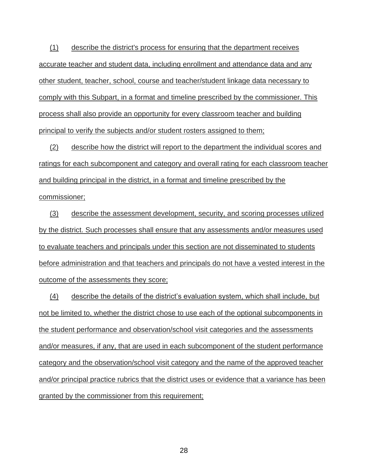(1) describe the district's process for ensuring that the department receives accurate teacher and student data, including enrollment and attendance data and any other student, teacher, school, course and teacher/student linkage data necessary to comply with this Subpart, in a format and timeline prescribed by the commissioner. This process shall also provide an opportunity for every classroom teacher and building principal to verify the subjects and/or student rosters assigned to them;

(2) describe how the district will report to the department the individual scores and ratings for each subcomponent and category and overall rating for each classroom teacher and building principal in the district, in a format and timeline prescribed by the commissioner;

(3) describe the assessment development, security, and scoring processes utilized by the district. Such processes shall ensure that any assessments and/or measures used to evaluate teachers and principals under this section are not disseminated to students before administration and that teachers and principals do not have a vested interest in the outcome of the assessments they score;

(4) describe the details of the district's evaluation system, which shall include, but not be limited to, whether the district chose to use each of the optional subcomponents in the student performance and observation/school visit categories and the assessments and/or measures, if any, that are used in each subcomponent of the student performance category and the observation/school visit category and the name of the approved teacher and/or principal practice rubrics that the district uses or evidence that a variance has been granted by the commissioner from this requirement;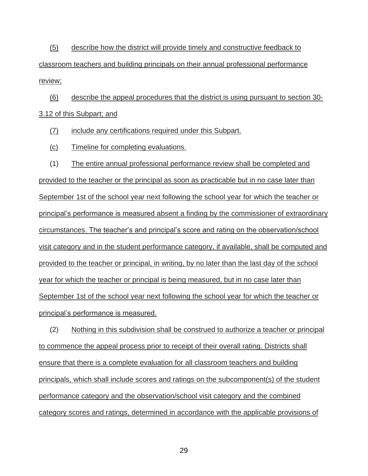(5) describe how the district will provide timely and constructive feedback to classroom teachers and building principals on their annual professional performance review;

(6) describe the appeal procedures that the district is using pursuant to section 30- 3.12 of this Subpart; and

(7) include any certifications required under this Subpart.

(c) Timeline for completing evaluations.

(1) The entire annual professional performance review shall be completed and provided to the teacher or the principal as soon as practicable but in no case later than September 1st of the school year next following the school year for which the teacher or principal's performance is measured absent a finding by the commissioner of extraordinary circumstances. The teacher's and principal's score and rating on the observation/school visit category and in the student performance category, if available, shall be computed and provided to the teacher or principal, in writing, by no later than the last day of the school year for which the teacher or principal is being measured, but in no case later than September 1st of the school year next following the school year for which the teacher or principal's performance is measured.

(2) Nothing in this subdivision shall be construed to authorize a teacher or principal to commence the appeal process prior to receipt of their overall rating. Districts shall ensure that there is a complete evaluation for all classroom teachers and building principals, which shall include scores and ratings on the subcomponent(s) of the student performance category and the observation/school visit category and the combined category scores and ratings, determined in accordance with the applicable provisions of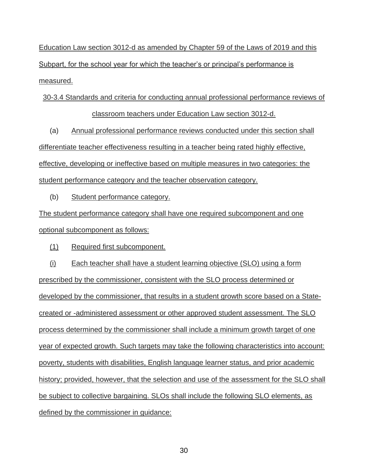Education Law section 3012-d as amended by Chapter 59 of the Laws of 2019 and this Subpart, for the school year for which the teacher's or principal's performance is measured.

30-3.4 Standards and criteria for conducting annual professional performance reviews of classroom teachers under Education Law section 3012-d.

(a) Annual professional performance reviews conducted under this section shall differentiate teacher effectiveness resulting in a teacher being rated highly effective, effective, developing or ineffective based on multiple measures in two categories: the student performance category and the teacher observation category.

(b) Student performance category.

The student performance category shall have one required subcomponent and one optional subcomponent as follows:

(1) Required first subcomponent.

(i) Each teacher shall have a student learning objective (SLO) using a form prescribed by the commissioner, consistent with the SLO process determined or developed by the commissioner, that results in a student growth score based on a Statecreated or -administered assessment or other approved student assessment. The SLO process determined by the commissioner shall include a minimum growth target of one year of expected growth. Such targets may take the following characteristics into account: poverty, students with disabilities, English language learner status, and prior academic history; provided, however, that the selection and use of the assessment for the SLO shall be subject to collective bargaining. SLOs shall include the following SLO elements, as defined by the commissioner in guidance: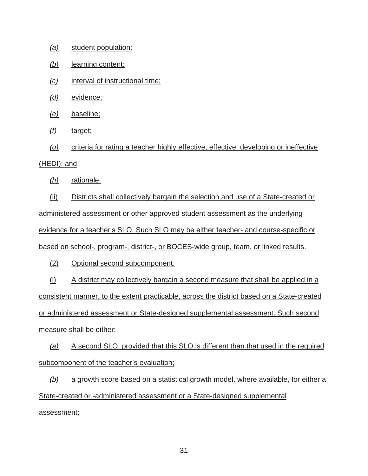- *(a)* student population;
- *(b)* learning content;
- *(c)* interval of instructional time;
- *(d)* evidence;
- *(e)* baseline;
- *(f)* target;

*(g)* criteria for rating a teacher highly effective, effective, developing or ineffective (HEDI); and

*(h)* rationale.

(ii) Districts shall collectively bargain the selection and use of a State-created or administered assessment or other approved student assessment as the underlying evidence for a teacher's SLO. Such SLO may be either teacher- and course-specific or based on school-, program-, district-, or BOCES-wide group, team, or linked results.

(2) Optional second subcomponent.

(i) A district may collectively bargain a second measure that shall be applied in a consistent manner, to the extent practicable, across the district based on a State-created or administered assessment or State-designed supplemental assessment. Such second measure shall be either:

*(a)* A second SLO, provided that this SLO is different than that used in the required subcomponent of the teacher's evaluation;

*(b)* a growth score based on a statistical growth model, where available, for either a State-created or -administered assessment or a State-designed supplemental

assessment;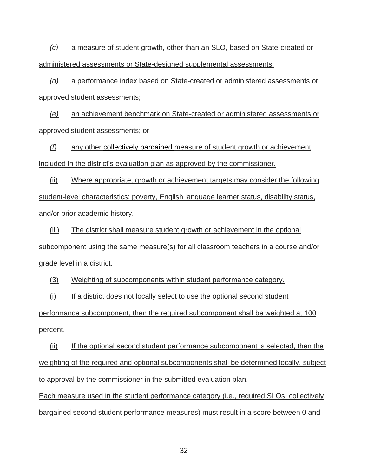*(c)* a measure of student growth, other than an SLO, based on State-created or administered assessments or State-designed supplemental assessments;

*(d)* a performance index based on State-created or administered assessments or approved student assessments;

*(e)* an achievement benchmark on State-created or administered assessments or approved student assessments; or

*(f)* any other collectively bargained measure of student growth or achievement included in the district's evaluation plan as approved by the commissioner.

(ii) Where appropriate, growth or achievement targets may consider the following student-level characteristics: poverty, English language learner status, disability status, and/or prior academic history.

(iii) The district shall measure student growth or achievement in the optional subcomponent using the same measure(s) for all classroom teachers in a course and/or grade level in a district.

(3) Weighting of subcomponents within student performance category.

(i) If a district does not locally select to use the optional second student

performance subcomponent, then the required subcomponent shall be weighted at 100 percent.

(ii) If the optional second student performance subcomponent is selected, then the weighting of the required and optional subcomponents shall be determined locally, subject to approval by the commissioner in the submitted evaluation plan.

Each measure used in the student performance category (i.e., required SLOs, collectively bargained second student performance measures) must result in a score between 0 and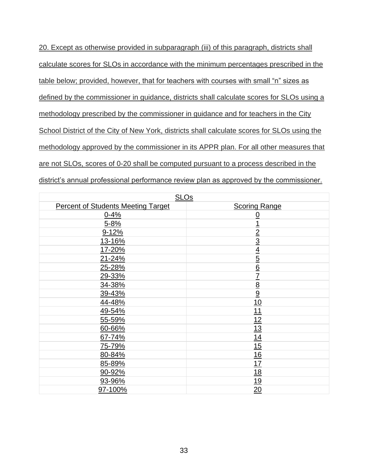20. Except as otherwise provided in subparagraph (iii) of this paragraph, districts shall calculate scores for SLOs in accordance with the minimum percentages prescribed in the table below; provided, however, that for teachers with courses with small "n" sizes as defined by the commissioner in guidance, districts shall calculate scores for SLOs using a methodology prescribed by the commissioner in guidance and for teachers in the City School District of the City of New York, districts shall calculate scores for SLOs using the methodology approved by the commissioner in its APPR plan. For all other measures that are not SLOs, scores of 0-20 shall be computed pursuant to a process described in the district's annual professional performance review plan as approved by the commissioner.

| <b>SLOs</b>                               |                      |  |  |  |
|-------------------------------------------|----------------------|--|--|--|
| <b>Percent of Students Meeting Target</b> | <b>Scoring Range</b> |  |  |  |
| $0 - 4%$                                  | $\overline{0}$       |  |  |  |
| $5 - 8%$                                  | <u>1</u>             |  |  |  |
| $9 - 12%$                                 |                      |  |  |  |
| 13-16%                                    | $\frac{2}{3}$        |  |  |  |
| 17-20%                                    |                      |  |  |  |
| 21-24%                                    | $\frac{4}{5}$        |  |  |  |
| 25-28%                                    |                      |  |  |  |
| 29-33%                                    | $\frac{6}{7}$        |  |  |  |
| 34-38%                                    |                      |  |  |  |
| 39-43%                                    | $\frac{8}{9}$        |  |  |  |
| 44-48%                                    | 10                   |  |  |  |
| 49-54%                                    | <u>11</u>            |  |  |  |
| 55-59%                                    | 12                   |  |  |  |
| 60-66%                                    | 13                   |  |  |  |
| 67-74%                                    | 14                   |  |  |  |
| <u>75-79%</u>                             | 15                   |  |  |  |
| 80-84%                                    | 16                   |  |  |  |
| 85-89%                                    | 17                   |  |  |  |
| 90-92%                                    | 18                   |  |  |  |
| 93-96%                                    | <u>19</u>            |  |  |  |
| 97-100%                                   | 20                   |  |  |  |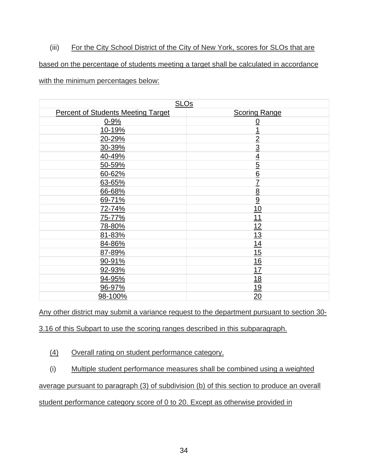# (iii) For the City School District of the City of New York, scores for SLOs that are

# based on the percentage of students meeting a target shall be calculated in accordance

#### with the minimum percentages below:

| <b>SLOs</b>                               |                                                                       |
|-------------------------------------------|-----------------------------------------------------------------------|
| <b>Percent of Students Meeting Target</b> | <b>Scoring Range</b>                                                  |
| $0 - 9%$                                  | $\overline{0}$                                                        |
| 10-19%                                    |                                                                       |
| 20-29%                                    |                                                                       |
| 30-39%                                    |                                                                       |
| 40-49%                                    |                                                                       |
| 50-59%                                    | $\frac{1}{2}$ $\frac{2}{3}$ $\frac{3}{4}$ $\frac{4}{5}$ $\frac{6}{6}$ |
| 60-62%                                    |                                                                       |
| 63-65%                                    | $\overline{1}$                                                        |
| 66-68%                                    | $\frac{8}{9}$                                                         |
| 69-71%                                    |                                                                       |
| 72-74%                                    | 10                                                                    |
| 75-77%                                    | 11                                                                    |
| 78-80%                                    | 12                                                                    |
| 81-83%                                    | 13                                                                    |
| 84-86%                                    | 14                                                                    |
| 87-89%                                    | 15                                                                    |
| 90-91%                                    | 16                                                                    |
| 92-93%                                    | 17                                                                    |
| 94-95%                                    | <u>18</u>                                                             |
| 96-97%                                    | <u>19</u>                                                             |
| 98-100%                                   | 20                                                                    |

Any other district may submit a variance request to the department pursuant to section 30-

3.16 of this Subpart to use the scoring ranges described in this subparagraph.

(4) Overall rating on student performance category.

# (i) Multiple student performance measures shall be combined using a weighted

# average pursuant to paragraph (3) of subdivision (b) of this section to produce an overall

#### student performance category score of 0 to 20. Except as otherwise provided in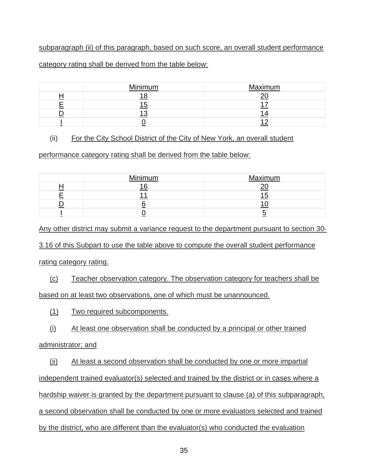# subparagraph (ii) of this paragraph, based on such score, an overall student performance

### category rating shall be derived from the table below:

| Minimum | Maximum |
|---------|---------|
|         |         |
|         |         |
|         |         |
|         |         |

# (ii) For the City School District of the City of New York, an overall student

performance category rating shall be derived from the table below:

| Minimum | Maximum |
|---------|---------|
| $\sim$  |         |
|         |         |
|         |         |
|         |         |

Any other district may submit a variance request to the department pursuant to section 30-

3.16 of this Subpart to use the table above to compute the overall student performance

rating category rating.

(c) Teacher observation category. The observation category for teachers shall be based on at least two observations, one of which must be unannounced.

(1) Two required subcomponents.

(i) At least one observation shall be conducted by a principal or other trained

# administrator; and

(ii) At least a second observation shall be conducted by one or more impartial independent trained evaluator(s) selected and trained by the district or in cases where a hardship waiver is granted by the department pursuant to clause (a) of this subparagraph, a second observation shall be conducted by one or more evaluators selected and trained by the district, who are different than the evaluator(s) who conducted the evaluation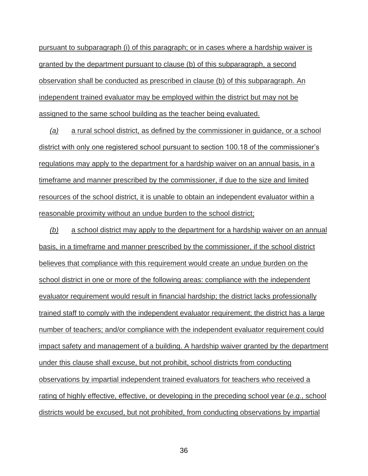pursuant to subparagraph (i) of this paragraph; or in cases where a hardship waiver is granted by the department pursuant to clause (b) of this subparagraph, a second observation shall be conducted as prescribed in clause (b) of this subparagraph. An independent trained evaluator may be employed within the district but may not be assigned to the same school building as the teacher being evaluated.

*(a)* a rural school district, as defined by the commissioner in guidance, or a school district with only one registered school pursuant to section 100.18 of the commissioner's regulations may apply to the department for a hardship waiver on an annual basis, in a timeframe and manner prescribed by the commissioner, if due to the size and limited resources of the school district, it is unable to obtain an independent evaluator within a reasonable proximity without an undue burden to the school district;

*(b)* a school district may apply to the department for a hardship waiver on an annual basis, in a timeframe and manner prescribed by the commissioner, if the school district believes that compliance with this requirement would create an undue burden on the school district in one or more of the following areas: compliance with the independent evaluator requirement would result in financial hardship; the district lacks professionally trained staff to comply with the independent evaluator requirement; the district has a large number of teachers; and/or compliance with the independent evaluator requirement could impact safety and management of a building. A hardship waiver granted by the department under this clause shall excuse, but not prohibit, school districts from conducting observations by impartial independent trained evaluators for teachers who received a rating of highly effective, effective, or developing in the preceding school year (*e.g.*, school districts would be excused, but not prohibited, from conducting observations by impartial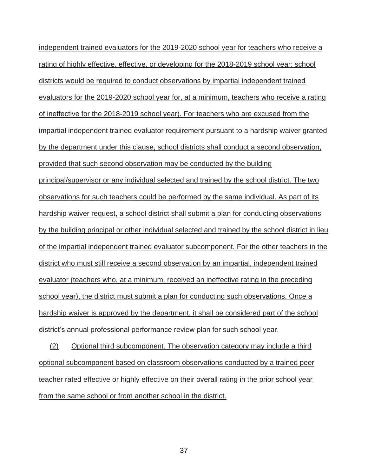independent trained evaluators for the 2019-2020 school year for teachers who receive a rating of highly effective, effective, or developing for the 2018-2019 school year; school districts would be required to conduct observations by impartial independent trained evaluators for the 2019-2020 school year for, at a minimum, teachers who receive a rating of ineffective for the 2018-2019 school year). For teachers who are excused from the impartial independent trained evaluator requirement pursuant to a hardship waiver granted by the department under this clause, school districts shall conduct a second observation, provided that such second observation may be conducted by the building principal/supervisor or any individual selected and trained by the school district. The two observations for such teachers could be performed by the same individual. As part of its hardship waiver request, a school district shall submit a plan for conducting observations by the building principal or other individual selected and trained by the school district in lieu of the impartial independent trained evaluator subcomponent. For the other teachers in the district who must still receive a second observation by an impartial, independent trained evaluator (teachers who, at a minimum, received an ineffective rating in the preceding school year), the district must submit a plan for conducting such observations. Once a hardship waiver is approved by the department, it shall be considered part of the school district's annual professional performance review plan for such school year.

(2) Optional third subcomponent. The observation category may include a third optional subcomponent based on classroom observations conducted by a trained peer teacher rated effective or highly effective on their overall rating in the prior school year from the same school or from another school in the district.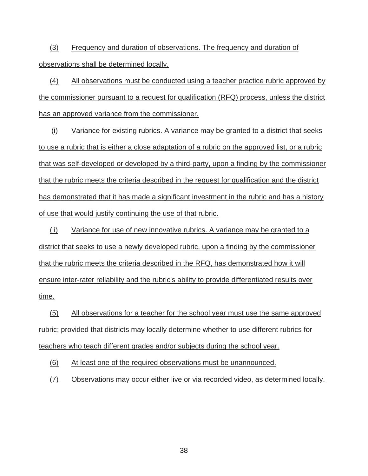(3) Frequency and duration of observations. The frequency and duration of observations shall be determined locally.

(4) All observations must be conducted using a teacher practice rubric approved by the commissioner pursuant to a request for qualification (RFQ) process, unless the district has an approved variance from the commissioner.

(i) Variance for existing rubrics. A variance may be granted to a district that seeks to use a rubric that is either a close adaptation of a rubric on the approved list, or a rubric that was self-developed or developed by a third-party, upon a finding by the commissioner that the rubric meets the criteria described in the request for qualification and the district has demonstrated that it has made a significant investment in the rubric and has a history of use that would justify continuing the use of that rubric.

(ii) Variance for use of new innovative rubrics. A variance may be granted to a district that seeks to use a newly developed rubric, upon a finding by the commissioner that the rubric meets the criteria described in the RFQ, has demonstrated how it will ensure inter-rater reliability and the rubric's ability to provide differentiated results over time.

(5) All observations for a teacher for the school year must use the same approved rubric; provided that districts may locally determine whether to use different rubrics for teachers who teach different grades and/or subjects during the school year.

(6) At least one of the required observations must be unannounced.

(7) Observations may occur either live or via recorded video, as determined locally.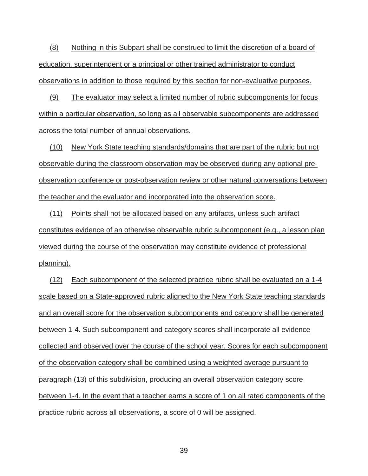(8) Nothing in this Subpart shall be construed to limit the discretion of a board of education, superintendent or a principal or other trained administrator to conduct observations in addition to those required by this section for non-evaluative purposes.

(9) The evaluator may select a limited number of rubric subcomponents for focus within a particular observation, so long as all observable subcomponents are addressed across the total number of annual observations.

(10) New York State teaching standards/domains that are part of the rubric but not observable during the classroom observation may be observed during any optional preobservation conference or post-observation review or other natural conversations between the teacher and the evaluator and incorporated into the observation score.

(11) Points shall not be allocated based on any artifacts, unless such artifact constitutes evidence of an otherwise observable rubric subcomponent (e.g., a lesson plan viewed during the course of the observation may constitute evidence of professional planning).

(12) Each subcomponent of the selected practice rubric shall be evaluated on a 1-4 scale based on a State-approved rubric aligned to the New York State teaching standards and an overall score for the observation subcomponents and category shall be generated between 1-4. Such subcomponent and category scores shall incorporate all evidence collected and observed over the course of the school year. Scores for each subcomponent of the observation category shall be combined using a weighted average pursuant to paragraph (13) of this subdivision, producing an overall observation category score between 1-4. In the event that a teacher earns a score of 1 on all rated components of the practice rubric across all observations, a score of 0 will be assigned.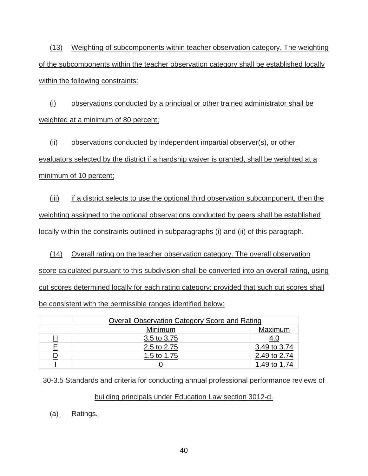(13) Weighting of subcomponents within teacher observation category. The weighting of the subcomponents within the teacher observation category shall be established locally within the following constraints:

(i) observations conducted by a principal or other trained administrator shall be weighted at a minimum of 80 percent;

(ii) observations conducted by independent impartial observer(s), or other evaluators selected by the district if a hardship waiver is granted, shall be weighted at a minimum of 10 percent;

(iii) if a district selects to use the optional third observation subcomponent, then the weighting assigned to the optional observations conducted by peers shall be established locally within the constraints outlined in subparagraphs (i) and (ii) of this paragraph.

(14) Overall rating on the teacher observation category. The overall observation score calculated pursuant to this subdivision shall be converted into an overall rating, using cut scores determined locally for each rating category; provided that such cut scores shall be consistent with the permissible ranges identified below:

|                | <b>Overall Observation Category Score and Rating</b> |              |  |
|----------------|------------------------------------------------------|--------------|--|
|                | Maximum<br>Minimum                                   |              |  |
| 旦              | 3.5 to 3.75                                          | 4.U          |  |
| E              | 2.5 to 2.75                                          | 3.49 to 3.74 |  |
| $\overline{D}$ | 1.5 to 1.75                                          | 2.49 to 2.74 |  |
|                |                                                      | 1.49 to 1.74 |  |

30-3.5 Standards and criteria for conducting annual professional performance reviews of

## building principals under Education Law section 3012-d.

(a) Ratings.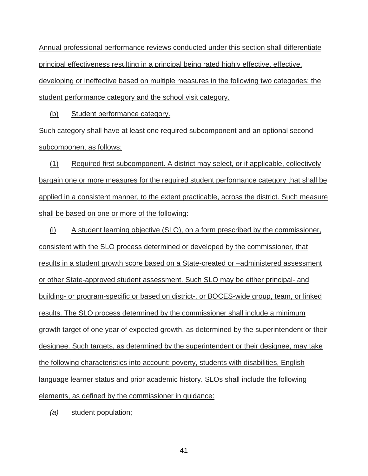Annual professional performance reviews conducted under this section shall differentiate principal effectiveness resulting in a principal being rated highly effective, effective, developing or ineffective based on multiple measures in the following two categories: the student performance category and the school visit category.

(b) Student performance category.

Such category shall have at least one required subcomponent and an optional second subcomponent as follows:

(1) Required first subcomponent. A district may select, or if applicable, collectively bargain one or more measures for the required student performance category that shall be applied in a consistent manner, to the extent practicable, across the district. Such measure shall be based on one or more of the following:

(i) A student learning objective (SLO), on a form prescribed by the commissioner, consistent with the SLO process determined or developed by the commissioner, that results in a student growth score based on a State-created or –administered assessment or other State-approved student assessment. Such SLO may be either principal- and building- or program-specific or based on district-, or BOCES-wide group, team, or linked results. The SLO process determined by the commissioner shall include a minimum growth target of one year of expected growth, as determined by the superintendent or their designee. Such targets, as determined by the superintendent or their designee, may take the following characteristics into account: poverty, students with disabilities, English language learner status and prior academic history. SLOs shall include the following elements, as defined by the commissioner in guidance:

*(a)* student population;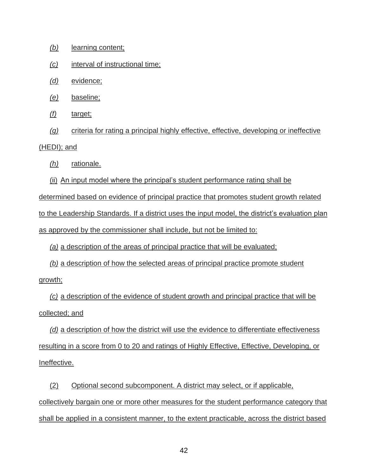- *(b)* learning content;
- *(c)* interval of instructional time;
- *(d)* evidence;
- *(e)* baseline;
- *(f)* target;

*(g)* criteria for rating a principal highly effective, effective, developing or ineffective (HEDI); and

- *(h)* rationale.
- (ii) An input model where the principal's student performance rating shall be

determined based on evidence of principal practice that promotes student growth related to the Leadership Standards. If a district uses the input model, the district's evaluation plan as approved by the commissioner shall include, but not be limited to:

*(a)* a description of the areas of principal practice that will be evaluated;

*(b)* a description of how the selected areas of principal practice promote student growth;

*(c)* a description of the evidence of student growth and principal practice that will be collected; and

*(d)* a description of how the district will use the evidence to differentiate effectiveness resulting in a score from 0 to 20 and ratings of Highly Effective, Effective, Developing, or Ineffective.

(2) Optional second subcomponent. A district may select, or if applicable, collectively bargain one or more other measures for the student performance category that shall be applied in a consistent manner, to the extent practicable, across the district based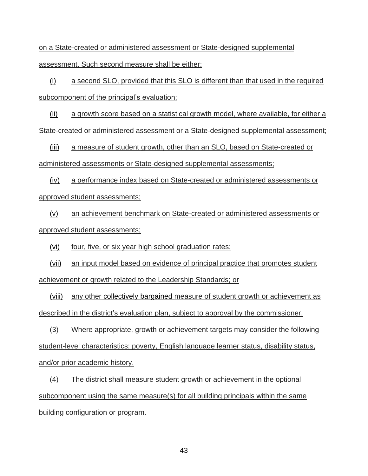on a State-created or administered assessment or State-designed supplemental assessment. Such second measure shall be either:

(i) a second SLO, provided that this SLO is different than that used in the required subcomponent of the principal's evaluation;

(ii) a growth score based on a statistical growth model, where available, for either a State-created or administered assessment or a State-designed supplemental assessment;

(iii) a measure of student growth, other than an SLO, based on State-created or administered assessments or State-designed supplemental assessments;

(iv) a performance index based on State-created or administered assessments or approved student assessments;

(v) an achievement benchmark on State-created or administered assessments or approved student assessments;

(vi) four, five, or six year high school graduation rates;

(vii) an input model based on evidence of principal practice that promotes student achievement or growth related to the Leadership Standards; or

(viii) any other collectively bargained measure of student growth or achievement as described in the district's evaluation plan, subject to approval by the commissioner.

(3) Where appropriate, growth or achievement targets may consider the following student-level characteristics: poverty, English language learner status, disability status, and/or prior academic history.

(4) The district shall measure student growth or achievement in the optional subcomponent using the same measure(s) for all building principals within the same building configuration or program.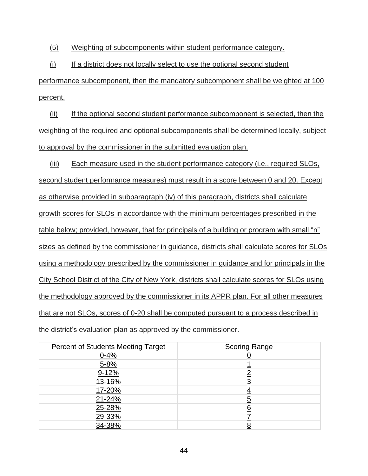(5) Weighting of subcomponents within student performance category.

(i) If a district does not locally select to use the optional second student

performance subcomponent, then the mandatory subcomponent shall be weighted at 100 percent.

(ii) If the optional second student performance subcomponent is selected, then the weighting of the required and optional subcomponents shall be determined locally, subject to approval by the commissioner in the submitted evaluation plan.

(iii) Each measure used in the student performance category (i.e., required SLOs, second student performance measures) must result in a score between 0 and 20. Except as otherwise provided in subparagraph (iv) of this paragraph, districts shall calculate growth scores for SLOs in accordance with the minimum percentages prescribed in the table below; provided, however, that for principals of a building or program with small "n" sizes as defined by the commissioner in guidance, districts shall calculate scores for SLOs using a methodology prescribed by the commissioner in guidance and for principals in the City School District of the City of New York, districts shall calculate scores for SLOs using the methodology approved by the commissioner in its APPR plan. For all other measures that are not SLOs, scores of 0-20 shall be computed pursuant to a process described in the district's evaluation plan as approved by the commissioner.

| <b>Percent of Students Meeting Target</b> | <b>Scoring Range</b> |
|-------------------------------------------|----------------------|
| $0 - 4%$                                  |                      |
| $5 - 8%$                                  |                      |
| $9 - 12%$                                 |                      |
| 13-16%                                    |                      |
| 17-20%                                    |                      |
| 21-24%                                    |                      |
| 25-28%                                    |                      |
| 29-33%                                    |                      |
| 34-38%                                    |                      |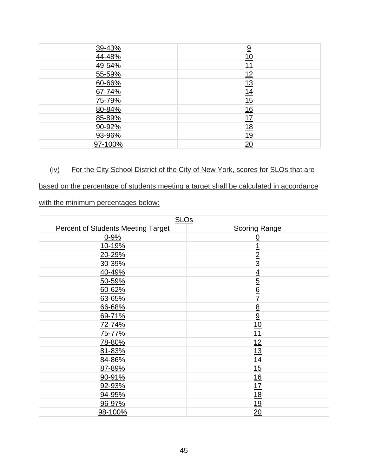| 39-43%  | $\overline{9}$ |
|---------|----------------|
| 44-48%  | <u> 10</u>     |
| 49-54%  | <u> 11</u>     |
| 55-59%  | 12             |
| 60-66%  | 13             |
| 67-74%  | 14             |
| 75-79%  | 15             |
| 80-84%  | 16             |
| 85-89%  | <u> 17</u>     |
| 90-92%  | <u>18</u>      |
| 93-96%  | <u> 19</u>     |
| 97-100% | 20             |

# (iv) For the City School District of the City of New York, scores for SLOs that are

## based on the percentage of students meeting a target shall be calculated in accordance

with the minimum percentages below:

| <b>SLOs</b>                               |                             |  |  |
|-------------------------------------------|-----------------------------|--|--|
| <b>Percent of Students Meeting Target</b> | <b>Scoring Range</b>        |  |  |
| $0 - 9%$                                  | <u>0</u>                    |  |  |
| 10-19%                                    | 1                           |  |  |
| 20-29%                                    | $\overline{2}$              |  |  |
| 30-39%                                    | $\overline{3}$              |  |  |
| 40-49%                                    |                             |  |  |
| 50-59%                                    | $\frac{4}{5}$ $\frac{6}{6}$ |  |  |
| 60-62%                                    |                             |  |  |
| 63-65%                                    | $\overline{1}$              |  |  |
| 66-68%                                    | $rac{8}{9}$                 |  |  |
| 69-71%                                    |                             |  |  |
| 72-74%                                    | 10                          |  |  |
| 75-77%                                    | 11                          |  |  |
| 78-80%                                    | 12                          |  |  |
| 81-83%                                    | 13                          |  |  |
| 84-86%                                    | 14                          |  |  |
| 87-89%                                    | 15                          |  |  |
| 90-91%                                    | 16                          |  |  |
| 92-93%                                    | 17                          |  |  |
| 94-95%                                    | 18                          |  |  |
| 96-97%                                    | 19                          |  |  |
| 98-100%                                   | 20                          |  |  |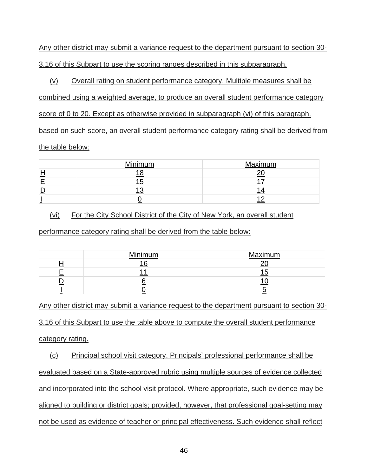Any other district may submit a variance request to the department pursuant to section 30- 3.16 of this Subpart to use the scoring ranges described in this subparagraph.

(v) Overall rating on student performance category. Multiple measures shall be

combined using a weighted average, to produce an overall student performance category

score of 0 to 20. Except as otherwise provided in subparagraph (vi) of this paragraph,

based on such score, an overall student performance category rating shall be derived from

## the table below:

| Minimum | Maximum |  |  |
|---------|---------|--|--|
|         |         |  |  |
|         |         |  |  |
|         |         |  |  |
|         |         |  |  |

(vi) For the City School District of the City of New York, an overall student

performance category rating shall be derived from the table below:

| Minimum | Maximum |  |
|---------|---------|--|
|         |         |  |
|         |         |  |
|         |         |  |
|         |         |  |

Any other district may submit a variance request to the department pursuant to section 30- 3.16 of this Subpart to use the table above to compute the overall student performance category rating.

(c) Principal school visit category. Principals' professional performance shall be evaluated based on a State-approved rubric using multiple sources of evidence collected and incorporated into the school visit protocol. Where appropriate, such evidence may be aligned to building or district goals; provided, however, that professional goal-setting may not be used as evidence of teacher or principal effectiveness. Such evidence shall reflect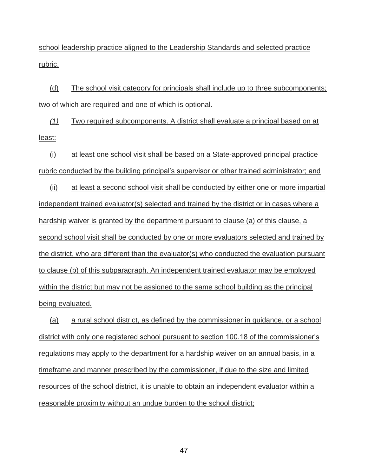school leadership practice aligned to the Leadership Standards and selected practice rubric.

(d) The school visit category for principals shall include up to three subcomponents; two of which are required and one of which is optional.

*(1)* Two required subcomponents. A district shall evaluate a principal based on at least:

(i) at least one school visit shall be based on a State-approved principal practice rubric conducted by the building principal's supervisor or other trained administrator; and

(ii) at least a second school visit shall be conducted by either one or more impartial independent trained evaluator(s) selected and trained by the district or in cases where a hardship waiver is granted by the department pursuant to clause (a) of this clause, a second school visit shall be conducted by one or more evaluators selected and trained by the district, who are different than the evaluator(s) who conducted the evaluation pursuant to clause (b) of this subparagraph. An independent trained evaluator may be employed within the district but may not be assigned to the same school building as the principal being evaluated.

(a) a rural school district, as defined by the commissioner in guidance, or a school district with only one registered school pursuant to section 100.18 of the commissioner's regulations may apply to the department for a hardship waiver on an annual basis, in a timeframe and manner prescribed by the commissioner, if due to the size and limited resources of the school district, it is unable to obtain an independent evaluator within a reasonable proximity without an undue burden to the school district;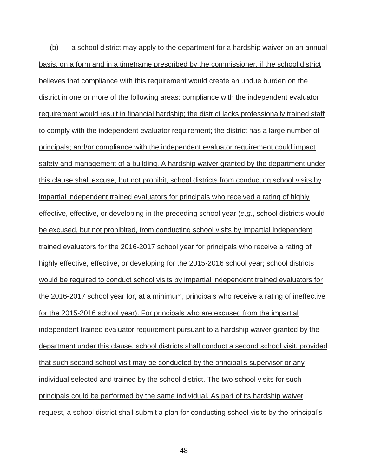(b) a school district may apply to the department for a hardship waiver on an annual basis, on a form and in a timeframe prescribed by the commissioner, if the school district believes that compliance with this requirement would create an undue burden on the district in one or more of the following areas: compliance with the independent evaluator requirement would result in financial hardship; the district lacks professionally trained staff to comply with the independent evaluator requirement; the district has a large number of principals; and/or compliance with the independent evaluator requirement could impact safety and management of a building. A hardship waiver granted by the department under this clause shall excuse, but not prohibit, school districts from conducting school visits by impartial independent trained evaluators for principals who received a rating of highly effective, effective, or developing in the preceding school year (*e.g.*, school districts would be excused, but not prohibited, from conducting school visits by impartial independent trained evaluators for the 2016-2017 school year for principals who receive a rating of highly effective, effective, or developing for the 2015-2016 school year; school districts would be required to conduct school visits by impartial independent trained evaluators for the 2016-2017 school year for, at a minimum, principals who receive a rating of ineffective for the 2015-2016 school year). For principals who are excused from the impartial independent trained evaluator requirement pursuant to a hardship waiver granted by the department under this clause, school districts shall conduct a second school visit, provided that such second school visit may be conducted by the principal's supervisor or any individual selected and trained by the school district. The two school visits for such principals could be performed by the same individual. As part of its hardship waiver request, a school district shall submit a plan for conducting school visits by the principal's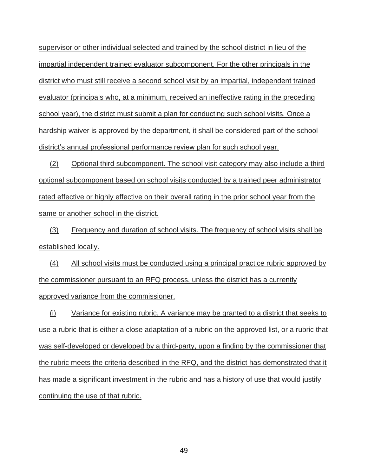supervisor or other individual selected and trained by the school district in lieu of the impartial independent trained evaluator subcomponent. For the other principals in the district who must still receive a second school visit by an impartial, independent trained evaluator (principals who, at a minimum, received an ineffective rating in the preceding school year), the district must submit a plan for conducting such school visits. Once a hardship waiver is approved by the department, it shall be considered part of the school district's annual professional performance review plan for such school year.

(2) Optional third subcomponent. The school visit category may also include a third optional subcomponent based on school visits conducted by a trained peer administrator rated effective or highly effective on their overall rating in the prior school year from the same or another school in the district.

(3) Frequency and duration of school visits. The frequency of school visits shall be established locally.

(4) All school visits must be conducted using a principal practice rubric approved by the commissioner pursuant to an RFQ process, unless the district has a currently approved variance from the commissioner.

(i) Variance for existing rubric. A variance may be granted to a district that seeks to use a rubric that is either a close adaptation of a rubric on the approved list, or a rubric that was self-developed or developed by a third-party, upon a finding by the commissioner that the rubric meets the criteria described in the RFQ, and the district has demonstrated that it has made a significant investment in the rubric and has a history of use that would justify continuing the use of that rubric.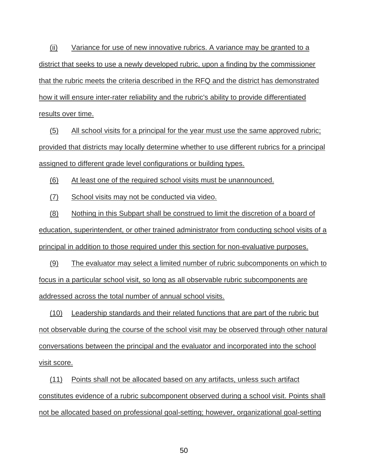(ii) Variance for use of new innovative rubrics. A variance may be granted to a district that seeks to use a newly developed rubric, upon a finding by the commissioner that the rubric meets the criteria described in the RFQ and the district has demonstrated how it will ensure inter-rater reliability and the rubric's ability to provide differentiated results over time.

(5) All school visits for a principal for the year must use the same approved rubric; provided that districts may locally determine whether to use different rubrics for a principal assigned to different grade level configurations or building types.

(6) At least one of the required school visits must be unannounced.

(7) School visits may not be conducted via video.

(8) Nothing in this Subpart shall be construed to limit the discretion of a board of education, superintendent, or other trained administrator from conducting school visits of a principal in addition to those required under this section for non-evaluative purposes.

(9) The evaluator may select a limited number of rubric subcomponents on which to focus in a particular school visit, so long as all observable rubric subcomponents are addressed across the total number of annual school visits.

(10) Leadership standards and their related functions that are part of the rubric but not observable during the course of the school visit may be observed through other natural conversations between the principal and the evaluator and incorporated into the school visit score.

(11) Points shall not be allocated based on any artifacts, unless such artifact constitutes evidence of a rubric subcomponent observed during a school visit. Points shall not be allocated based on professional goal-setting; however, organizational goal-setting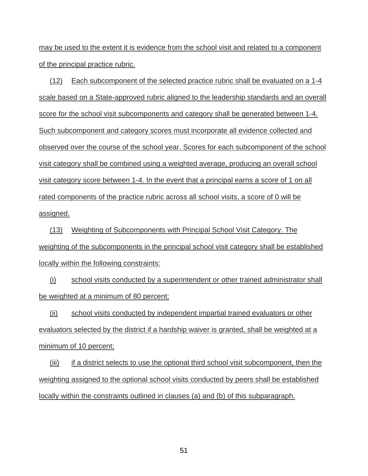may be used to the extent it is evidence from the school visit and related to a component of the principal practice rubric.

(12) Each subcomponent of the selected practice rubric shall be evaluated on a 1-4 scale based on a State-approved rubric aligned to the leadership standards and an overall score for the school visit subcomponents and category shall be generated between 1-4. Such subcomponent and category scores must incorporate all evidence collected and observed over the course of the school year. Scores for each subcomponent of the school visit category shall be combined using a weighted average, producing an overall school visit category score between 1-4. In the event that a principal earns a score of 1 on all rated components of the practice rubric across all school visits, a score of 0 will be assigned.

(13) Weighting of Subcomponents with Principal School Visit Category. The weighting of the subcomponents in the principal school visit category shall be established locally within the following constraints:

(i) school visits conducted by a superintendent or other trained administrator shall be weighted at a minimum of 80 percent;

(ii) school visits conducted by independent impartial trained evaluators or other evaluators selected by the district if a hardship waiver is granted, shall be weighted at a minimum of 10 percent;

(iii) if a district selects to use the optional third school visit subcomponent, then the weighting assigned to the optional school visits conducted by peers shall be established locally within the constraints outlined in clauses (a) and (b) of this subparagraph.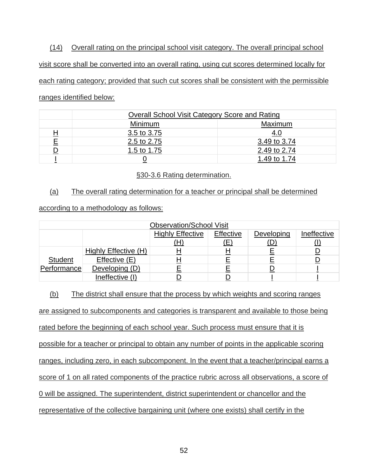(14) Overall rating on the principal school visit category. The overall principal school visit score shall be converted into an overall rating, using cut scores determined locally for each rating category; provided that such cut scores shall be consistent with the permissible ranges identified below:

|   | Overall School Visit Category Score and Rating |              |  |
|---|------------------------------------------------|--------------|--|
|   | Maximum<br>Minimum                             |              |  |
| 旦 | 3.5 to 3.75                                    | <u>4.0</u>   |  |
|   | 2.5 to 2.75                                    | 3.49 to 3.74 |  |
|   | 1.5 to 1.75                                    | 2.49 to 2.74 |  |
|   |                                                | 1.49 to 1.74 |  |

## §30-3.6 Rating determination.

## (a) The overall rating determination for a teacher or principal shall be determined

according to a methodology as follows:

| <b>Observation/School Visit</b> |                      |                         |           |            |             |
|---------------------------------|----------------------|-------------------------|-----------|------------|-------------|
|                                 |                      | <b>Highly Effective</b> | Effective | Developing | Ineffective |
|                                 |                      |                         | (E)       |            |             |
|                                 | Highly Effective (H) |                         |           |            |             |
| <b>Student</b>                  | Effective (E)        |                         |           |            |             |
| Performance                     | Developing (D)       |                         |           |            |             |
|                                 | Ineffective (I)      |                         |           |            |             |

(b) The district shall ensure that the process by which weights and scoring ranges

are assigned to subcomponents and categories is transparent and available to those being

rated before the beginning of each school year. Such process must ensure that it is

possible for a teacher or principal to obtain any number of points in the applicable scoring

ranges, including zero, in each subcomponent. In the event that a teacher/principal earns a

score of 1 on all rated components of the practice rubric across all observations, a score of

0 will be assigned. The superintendent, district superintendent or chancellor and the

representative of the collective bargaining unit (where one exists) shall certify in the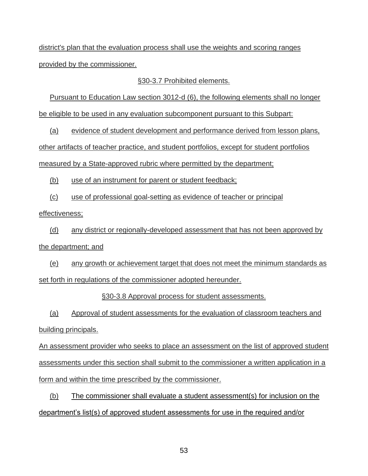district's plan that the evaluation process shall use the weights and scoring ranges provided by the commissioner.

## §30-3.7 Prohibited elements.

Pursuant to Education Law section 3012-d (6), the following elements shall no longer be eligible to be used in any evaluation subcomponent pursuant to this Subpart:

(a) evidence of student development and performance derived from lesson plans, other artifacts of teacher practice, and student portfolios, except for student portfolios measured by a State-approved rubric where permitted by the department;

(b) use of an instrument for parent or student feedback;

(c) use of professional goal-setting as evidence of teacher or principal

effectiveness;

(d) any district or regionally-developed assessment that has not been approved by the department; and

(e) any growth or achievement target that does not meet the minimum standards as set forth in regulations of the commissioner adopted hereunder.

§30-3.8 Approval process for student assessments.

(a) Approval of student assessments for the evaluation of classroom teachers and building principals.

An assessment provider who seeks to place an assessment on the list of approved student assessments under this section shall submit to the commissioner a written application in a form and within the time prescribed by the commissioner.

(b) The commissioner shall evaluate a student assessment(s) for inclusion on the department's list(s) of approved student assessments for use in the required and/or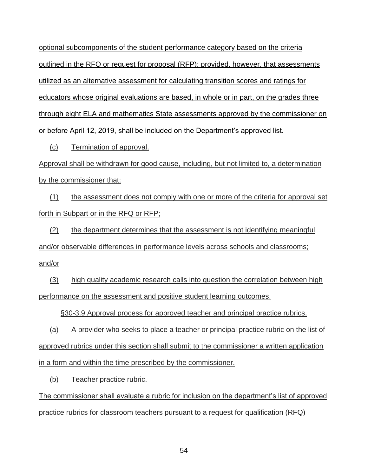optional subcomponents of the student performance category based on the criteria outlined in the RFQ or request for proposal (RFP); provided, however, that assessments utilized as an alternative assessment for calculating transition scores and ratings for educators whose original evaluations are based, in whole or in part, on the grades three through eight ELA and mathematics State assessments approved by the commissioner on or before April 12, 2019, shall be included on the Department's approved list.

(c) Termination of approval.

Approval shall be withdrawn for good cause, including, but not limited to, a determination by the commissioner that:

(1) the assessment does not comply with one or more of the criteria for approval set forth in Subpart or in the RFQ or RFP;

(2) the department determines that the assessment is not identifying meaningful and/or observable differences in performance levels across schools and classrooms; and/or

(3) high quality academic research calls into question the correlation between high performance on the assessment and positive student learning outcomes.

§30-3.9 Approval process for approved teacher and principal practice rubrics.

(a) A provider who seeks to place a teacher or principal practice rubric on the list of approved rubrics under this section shall submit to the commissioner a written application in a form and within the time prescribed by the commissioner.

(b) Teacher practice rubric.

The commissioner shall evaluate a rubric for inclusion on the department's list of approved practice rubrics for classroom teachers pursuant to a request for qualification (RFQ)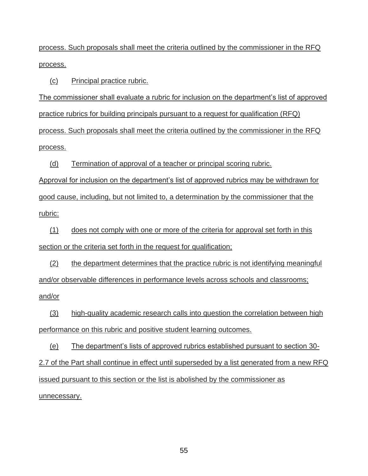process. Such proposals shall meet the criteria outlined by the commissioner in the RFQ process.

(c) Principal practice rubric.

The commissioner shall evaluate a rubric for inclusion on the department's list of approved practice rubrics for building principals pursuant to a request for qualification (RFQ) process. Such proposals shall meet the criteria outlined by the commissioner in the RFQ process.

(d) Termination of approval of a teacher or principal scoring rubric.

Approval for inclusion on the department's list of approved rubrics may be withdrawn for good cause, including, but not limited to, a determination by the commissioner that the rubric:

(1) does not comply with one or more of the criteria for approval set forth in this section or the criteria set forth in the request for qualification;

(2) the department determines that the practice rubric is not identifying meaningful and/or observable differences in performance levels across schools and classrooms; and/or

(3) high-quality academic research calls into question the correlation between high performance on this rubric and positive student learning outcomes.

(e) The department's lists of approved rubrics established pursuant to section 30-

2.7 of the Part shall continue in effect until superseded by a list generated from a new RFQ issued pursuant to this section or the list is abolished by the commissioner as unnecessary.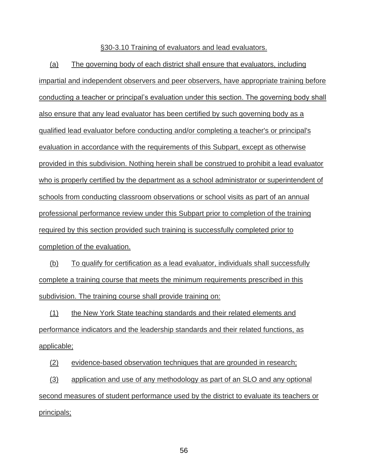#### §30-3.10 Training of evaluators and lead evaluators.

(a) The governing body of each district shall ensure that evaluators, including impartial and independent observers and peer observers, have appropriate training before conducting a teacher or principal's evaluation under this section. The governing body shall also ensure that any lead evaluator has been certified by such governing body as a qualified lead evaluator before conducting and/or completing a teacher's or principal's evaluation in accordance with the requirements of this Subpart, except as otherwise provided in this subdivision. Nothing herein shall be construed to prohibit a lead evaluator who is properly certified by the department as a school administrator or superintendent of schools from conducting classroom observations or school visits as part of an annual professional performance review under this Subpart prior to completion of the training required by this section provided such training is successfully completed prior to completion of the evaluation.

(b) To qualify for certification as a lead evaluator, individuals shall successfully complete a training course that meets the minimum requirements prescribed in this subdivision. The training course shall provide training on:

(1) the New York State teaching standards and their related elements and performance indicators and the leadership standards and their related functions, as applicable;

(2) evidence-based observation techniques that are grounded in research;

(3) application and use of any methodology as part of an SLO and any optional second measures of student performance used by the district to evaluate its teachers or principals;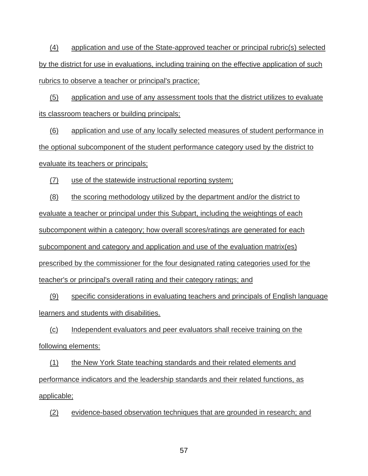(4) application and use of the State-approved teacher or principal rubric(s) selected by the district for use in evaluations, including training on the effective application of such rubrics to observe a teacher or principal's practice;

(5) application and use of any assessment tools that the district utilizes to evaluate its classroom teachers or building principals;

(6) application and use of any locally selected measures of student performance in the optional subcomponent of the student performance category used by the district to evaluate its teachers or principals;

(7) use of the statewide instructional reporting system;

(8) the scoring methodology utilized by the department and/or the district to evaluate a teacher or principal under this Subpart, including the weightings of each subcomponent within a category; how overall scores/ratings are generated for each subcomponent and category and application and use of the evaluation matrix(es) prescribed by the commissioner for the four designated rating categories used for the teacher's or principal's overall rating and their category ratings; and

(9) specific considerations in evaluating teachers and principals of English language learners and students with disabilities.

(c) Independent evaluators and peer evaluators shall receive training on the following elements:

(1) the New York State teaching standards and their related elements and performance indicators and the leadership standards and their related functions, as applicable;

(2) evidence-based observation techniques that are grounded in research; and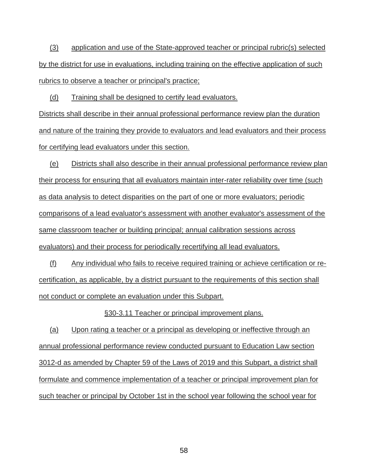(3) application and use of the State-approved teacher or principal rubric(s) selected by the district for use in evaluations, including training on the effective application of such rubrics to observe a teacher or principal's practice;

(d) Training shall be designed to certify lead evaluators.

Districts shall describe in their annual professional performance review plan the duration and nature of the training they provide to evaluators and lead evaluators and their process for certifying lead evaluators under this section.

(e) Districts shall also describe in their annual professional performance review plan their process for ensuring that all evaluators maintain inter-rater reliability over time (such as data analysis to detect disparities on the part of one or more evaluators; periodic comparisons of a lead evaluator's assessment with another evaluator's assessment of the same classroom teacher or building principal; annual calibration sessions across evaluators) and their process for periodically recertifying all lead evaluators.

(f) Any individual who fails to receive required training or achieve certification or recertification, as applicable, by a district pursuant to the requirements of this section shall not conduct or complete an evaluation under this Subpart.

§30-3.11 Teacher or principal improvement plans.

(a) Upon rating a teacher or a principal as developing or ineffective through an annual professional performance review conducted pursuant to Education Law section 3012-d as amended by Chapter 59 of the Laws of 2019 and this Subpart, a district shall formulate and commence implementation of a teacher or principal improvement plan for such teacher or principal by October 1st in the school year following the school year for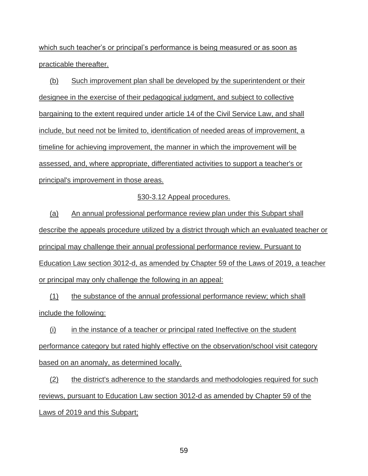which such teacher's or principal's performance is being measured or as soon as practicable thereafter.

(b) Such improvement plan shall be developed by the superintendent or their designee in the exercise of their pedagogical judgment, and subject to collective bargaining to the extent required under article 14 of the Civil Service Law, and shall include, but need not be limited to, identification of needed areas of improvement, a timeline for achieving improvement, the manner in which the improvement will be assessed, and, where appropriate, differentiated activities to support a teacher's or principal's improvement in those areas.

#### §30-3.12 Appeal procedures.

(a) An annual professional performance review plan under this Subpart shall describe the appeals procedure utilized by a district through which an evaluated teacher or principal may challenge their annual professional performance review. Pursuant to Education Law section 3012-d, as amended by Chapter 59 of the Laws of 2019, a teacher or principal may only challenge the following in an appeal:

(1) the substance of the annual professional performance review; which shall include the following:

(i) in the instance of a teacher or principal rated Ineffective on the student performance category but rated highly effective on the observation/school visit category based on an anomaly, as determined locally.

(2) the district's adherence to the standards and methodologies required for such reviews, pursuant to Education Law section 3012-d as amended by Chapter 59 of the Laws of 2019 and this Subpart;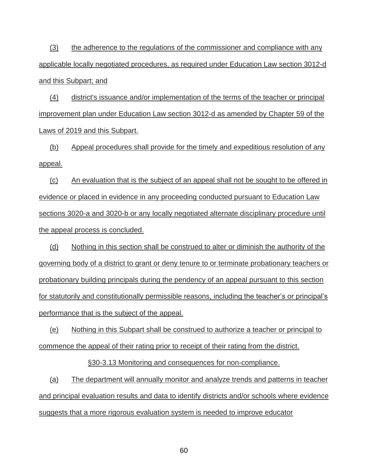(3) the adherence to the regulations of the commissioner and compliance with any applicable locally negotiated procedures, as required under Education Law section 3012-d and this Subpart; and

(4) district's issuance and/or implementation of the terms of the teacher or principal improvement plan under Education Law section 3012-d as amended by Chapter 59 of the Laws of 2019 and this Subpart.

(b) Appeal procedures shall provide for the timely and expeditious resolution of any appeal.

(c) An evaluation that is the subject of an appeal shall not be sought to be offered in evidence or placed in evidence in any proceeding conducted pursuant to Education Law sections 3020-a and 3020-b or any locally negotiated alternate disciplinary procedure until the appeal process is concluded.

(d) Nothing in this section shall be construed to alter or diminish the authority of the governing body of a district to grant or deny tenure to or terminate probationary teachers or probationary building principals during the pendency of an appeal pursuant to this section for statutorily and constitutionally permissible reasons, including the teacher's or principal's performance that is the subject of the appeal.

(e) Nothing in this Subpart shall be construed to authorize a teacher or principal to commence the appeal of their rating prior to receipt of their rating from the district.

§30-3.13 Monitoring and consequences for non-compliance.

(a) The department will annually monitor and analyze trends and patterns in teacher and principal evaluation results and data to identify districts and/or schools where evidence suggests that a more rigorous evaluation system is needed to improve educator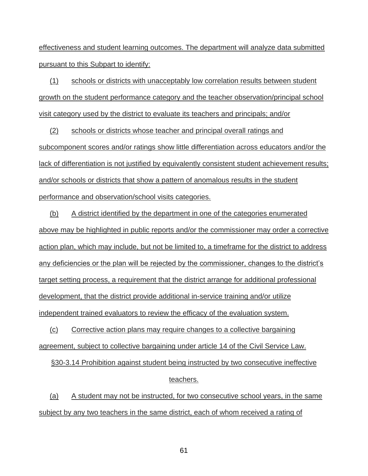effectiveness and student learning outcomes. The department will analyze data submitted pursuant to this Subpart to identify:

(1) schools or districts with unacceptably low correlation results between student growth on the student performance category and the teacher observation/principal school visit category used by the district to evaluate its teachers and principals; and/or

(2) schools or districts whose teacher and principal overall ratings and subcomponent scores and/or ratings show little differentiation across educators and/or the lack of differentiation is not justified by equivalently consistent student achievement results; and/or schools or districts that show a pattern of anomalous results in the student performance and observation/school visits categories.

(b) A district identified by the department in one of the categories enumerated above may be highlighted in public reports and/or the commissioner may order a corrective action plan, which may include, but not be limited to, a timeframe for the district to address any deficiencies or the plan will be rejected by the commissioner, changes to the district's target setting process, a requirement that the district arrange for additional professional development, that the district provide additional in-service training and/or utilize independent trained evaluators to review the efficacy of the evaluation system.

(c) Corrective action plans may require changes to a collective bargaining agreement, subject to collective bargaining under article 14 of the Civil Service Law.

§30-3.14 Prohibition against student being instructed by two consecutive ineffective teachers.

(a) A student may not be instructed, for two consecutive school years, in the same subject by any two teachers in the same district, each of whom received a rating of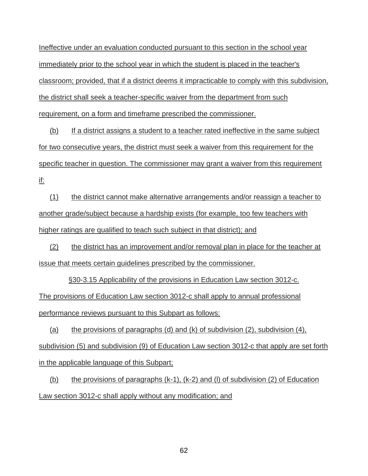Ineffective under an evaluation conducted pursuant to this section in the school year immediately prior to the school year in which the student is placed in the teacher's classroom; provided, that if a district deems it impracticable to comply with this subdivision, the district shall seek a teacher-specific waiver from the department from such requirement, on a form and timeframe prescribed the commissioner.

(b) If a district assigns a student to a teacher rated ineffective in the same subject for two consecutive years, the district must seek a waiver from this requirement for the specific teacher in question. The commissioner may grant a waiver from this requirement if:

(1) the district cannot make alternative arrangements and/or reassign a teacher to another grade/subject because a hardship exists (for example, too few teachers with higher ratings are qualified to teach such subject in that district); and

(2) the district has an improvement and/or removal plan in place for the teacher at issue that meets certain guidelines prescribed by the commissioner.

§30-3.15 Applicability of the provisions in Education Law section 3012-c. The provisions of Education Law section 3012-c shall apply to annual professional performance reviews pursuant to this Subpart as follows:

(a) the provisions of paragraphs (d) and (k) of subdivision (2), subdivision (4), subdivision (5) and subdivision (9) of Education Law section 3012-c that apply are set forth in the applicable language of this Subpart;

(b) the provisions of paragraphs  $(k-1)$ ,  $(k-2)$  and (l) of subdivision (2) of Education Law section 3012-c shall apply without any modification; and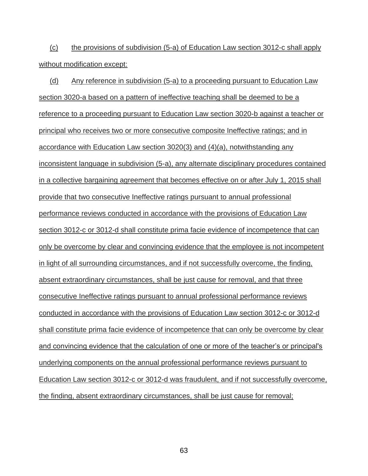(c) the provisions of subdivision (5-a) of Education Law section 3012-c shall apply without modification except:

(d) Any reference in subdivision (5-a) to a proceeding pursuant to Education Law section 3020-a based on a pattern of ineffective teaching shall be deemed to be a reference to a proceeding pursuant to Education Law section 3020-b against a teacher or principal who receives two or more consecutive composite Ineffective ratings; and in accordance with Education Law section 3020(3) and (4)(a), notwithstanding any inconsistent language in subdivision (5-a), any alternate disciplinary procedures contained in a collective bargaining agreement that becomes effective on or after July 1, 2015 shall provide that two consecutive Ineffective ratings pursuant to annual professional performance reviews conducted in accordance with the provisions of Education Law section 3012-c or 3012-d shall constitute prima facie evidence of incompetence that can only be overcome by clear and convincing evidence that the employee is not incompetent in light of all surrounding circumstances, and if not successfully overcome, the finding, absent extraordinary circumstances, shall be just cause for removal, and that three consecutive Ineffective ratings pursuant to annual professional performance reviews conducted in accordance with the provisions of Education Law section 3012-c or 3012-d shall constitute prima facie evidence of incompetence that can only be overcome by clear and convincing evidence that the calculation of one or more of the teacher's or principal's underlying components on the annual professional performance reviews pursuant to Education Law section 3012-c or 3012-d was fraudulent, and if not successfully overcome, the finding, absent extraordinary circumstances, shall be just cause for removal;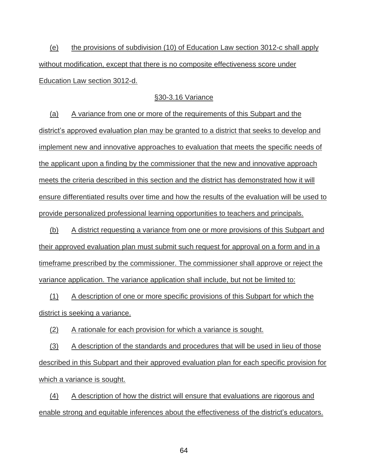(e) the provisions of subdivision (10) of Education Law section 3012-c shall apply without modification, except that there is no composite effectiveness score under Education Law section 3012-d.

## §30-3.16 Variance

(a) A variance from one or more of the requirements of this Subpart and the district's approved evaluation plan may be granted to a district that seeks to develop and implement new and innovative approaches to evaluation that meets the specific needs of the applicant upon a finding by the commissioner that the new and innovative approach meets the criteria described in this section and the district has demonstrated how it will ensure differentiated results over time and how the results of the evaluation will be used to provide personalized professional learning opportunities to teachers and principals.

(b) A district requesting a variance from one or more provisions of this Subpart and their approved evaluation plan must submit such request for approval on a form and in a timeframe prescribed by the commissioner. The commissioner shall approve or reject the variance application. The variance application shall include, but not be limited to:

(1) A description of one or more specific provisions of this Subpart for which the district is seeking a variance.

(2) A rationale for each provision for which a variance is sought.

(3) A description of the standards and procedures that will be used in lieu of those described in this Subpart and their approved evaluation plan for each specific provision for which a variance is sought.

(4) A description of how the district will ensure that evaluations are rigorous and enable strong and equitable inferences about the effectiveness of the district's educators.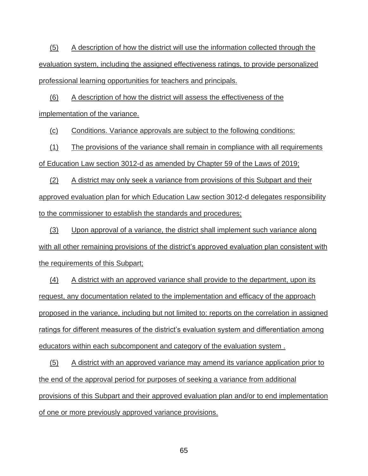(5) A description of how the district will use the information collected through the evaluation system, including the assigned effectiveness ratings, to provide personalized professional learning opportunities for teachers and principals.

(6) A description of how the district will assess the effectiveness of the

implementation of the variance.

(c) Conditions. Variance approvals are subject to the following conditions:

(1) The provisions of the variance shall remain in compliance with all requirements of Education Law section 3012-d as amended by Chapter 59 of the Laws of 2019;

(2) A district may only seek a variance from provisions of this Subpart and their approved evaluation plan for which Education Law section 3012-d delegates responsibility to the commissioner to establish the standards and procedures;

(3) Upon approval of a variance, the district shall implement such variance along with all other remaining provisions of the district's approved evaluation plan consistent with the requirements of this Subpart;

(4) A district with an approved variance shall provide to the department, upon its request, any documentation related to the implementation and efficacy of the approach proposed in the variance, including but not limited to: reports on the correlation in assigned ratings for different measures of the district's evaluation system and differentiation among educators within each subcomponent and category of the evaluation system .

(5) A district with an approved variance may amend its variance application prior to the end of the approval period for purposes of seeking a variance from additional provisions of this Subpart and their approved evaluation plan and/or to end implementation of one or more previously approved variance provisions.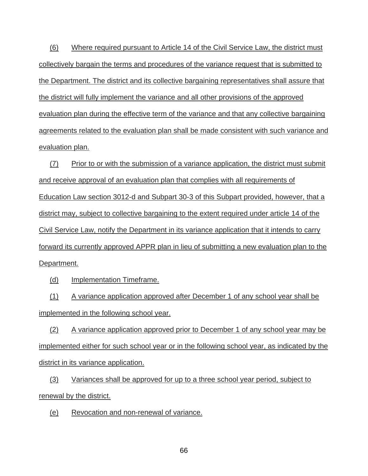(6) Where required pursuant to Article 14 of the Civil Service Law, the district must collectively bargain the terms and procedures of the variance request that is submitted to the Department. The district and its collective bargaining representatives shall assure that the district will fully implement the variance and all other provisions of the approved evaluation plan during the effective term of the variance and that any collective bargaining agreements related to the evaluation plan shall be made consistent with such variance and evaluation plan.

(7) Prior to or with the submission of a variance application, the district must submit and receive approval of an evaluation plan that complies with all requirements of Education Law section 3012-d and Subpart 30-3 of this Subpart provided, however, that a district may, subject to collective bargaining to the extent required under article 14 of the Civil Service Law, notify the Department in its variance application that it intends to carry forward its currently approved APPR plan in lieu of submitting a new evaluation plan to the Department.

(d) Implementation Timeframe.

(1) A variance application approved after December 1 of any school year shall be implemented in the following school year.

(2) A variance application approved prior to December 1 of any school year may be implemented either for such school year or in the following school year, as indicated by the district in its variance application.

(3) Variances shall be approved for up to a three school year period, subject to renewal by the district.

(e) Revocation and non-renewal of variance.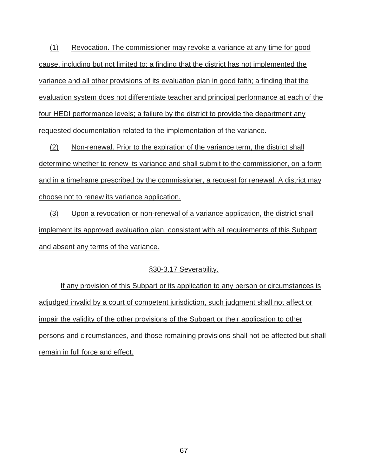(1) Revocation. The commissioner may revoke a variance at any time for good cause, including but not limited to: a finding that the district has not implemented the variance and all other provisions of its evaluation plan in good faith; a finding that the evaluation system does not differentiate teacher and principal performance at each of the four HEDI performance levels; a failure by the district to provide the department any requested documentation related to the implementation of the variance.

(2) Non-renewal. Prior to the expiration of the variance term, the district shall determine whether to renew its variance and shall submit to the commissioner, on a form and in a timeframe prescribed by the commissioner, a request for renewal. A district may choose not to renew its variance application.

(3) Upon a revocation or non-renewal of a variance application, the district shall implement its approved evaluation plan, consistent with all requirements of this Subpart and absent any terms of the variance.

## §30-3.17 Severability.

If any provision of this Subpart or its application to any person or circumstances is adjudged invalid by a court of competent jurisdiction, such judgment shall not affect or impair the validity of the other provisions of the Subpart or their application to other persons and circumstances, and those remaining provisions shall not be affected but shall remain in full force and effect.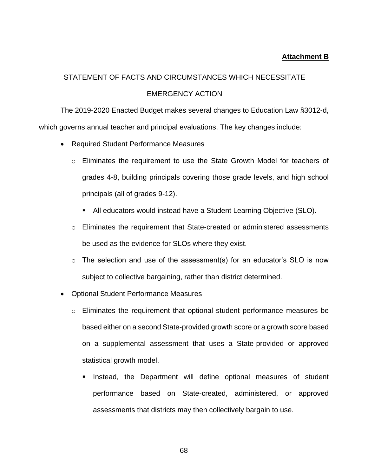## **Attachment B**

# STATEMENT OF FACTS AND CIRCUMSTANCES WHICH NECESSITATE EMERGENCY ACTION

The 2019-2020 Enacted Budget makes several changes to Education Law §3012-d, which governs annual teacher and principal evaluations. The key changes include:

- Required Student Performance Measures
	- o Eliminates the requirement to use the State Growth Model for teachers of grades 4-8, building principals covering those grade levels, and high school principals (all of grades 9-12).
		- All educators would instead have a Student Learning Objective (SLO).
	- o Eliminates the requirement that State-created or administered assessments be used as the evidence for SLOs where they exist.
	- o The selection and use of the assessment(s) for an educator's SLO is now subject to collective bargaining, rather than district determined.
- Optional Student Performance Measures
	- o Eliminates the requirement that optional student performance measures be based either on a second State-provided growth score or a growth score based on a supplemental assessment that uses a State-provided or approved statistical growth model.
		- Instead, the Department will define optional measures of student performance based on State-created, administered, or approved assessments that districts may then collectively bargain to use.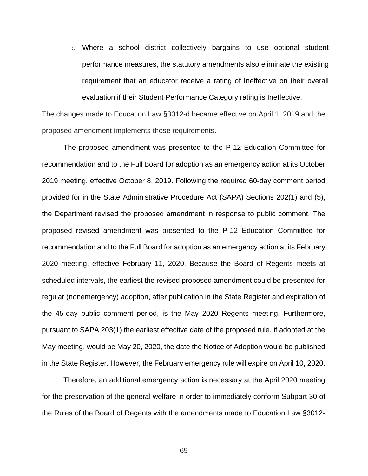o Where a school district collectively bargains to use optional student performance measures, the statutory amendments also eliminate the existing requirement that an educator receive a rating of Ineffective on their overall evaluation if their Student Performance Category rating is Ineffective.

The changes made to Education Law §3012-d became effective on April 1, 2019 and the proposed amendment implements those requirements.

The proposed amendment was presented to the P-12 Education Committee for recommendation and to the Full Board for adoption as an emergency action at its October 2019 meeting, effective October 8, 2019. Following the required 60-day comment period provided for in the State Administrative Procedure Act (SAPA) Sections 202(1) and (5), the Department revised the proposed amendment in response to public comment. The proposed revised amendment was presented to the P-12 Education Committee for recommendation and to the Full Board for adoption as an emergency action at its February 2020 meeting, effective February 11, 2020. Because the Board of Regents meets at scheduled intervals, the earliest the revised proposed amendment could be presented for regular (nonemergency) adoption, after publication in the State Register and expiration of the 45-day public comment period, is the May 2020 Regents meeting. Furthermore, pursuant to SAPA 203(1) the earliest effective date of the proposed rule, if adopted at the May meeting, would be May 20, 2020, the date the Notice of Adoption would be published in the State Register. However, the February emergency rule will expire on April 10, 2020.

Therefore, an additional emergency action is necessary at the April 2020 meeting for the preservation of the general welfare in order to immediately conform Subpart 30 of the Rules of the Board of Regents with the amendments made to Education Law §3012-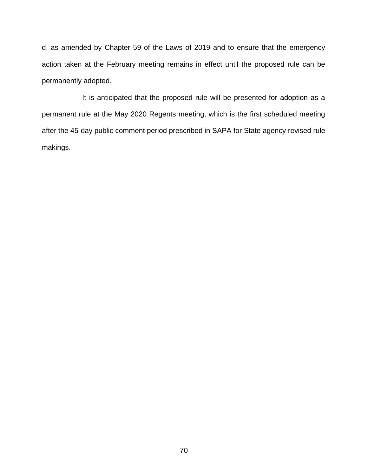d, as amended by Chapter 59 of the Laws of 2019 and to ensure that the emergency action taken at the February meeting remains in effect until the proposed rule can be permanently adopted.

It is anticipated that the proposed rule will be presented for adoption as a permanent rule at the May 2020 Regents meeting, which is the first scheduled meeting after the 45-day public comment period prescribed in SAPA for State agency revised rule makings.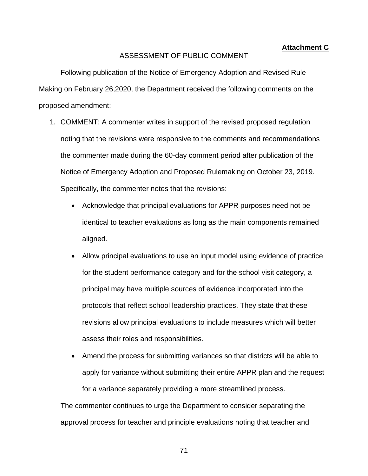#### **Attachment C**

#### ASSESSMENT OF PUBLIC COMMENT

Following publication of the Notice of Emergency Adoption and Revised Rule Making on February 26,2020, the Department received the following comments on the proposed amendment:

- 1. COMMENT: A commenter writes in support of the revised proposed regulation noting that the revisions were responsive to the comments and recommendations the commenter made during the 60-day comment period after publication of the Notice of Emergency Adoption and Proposed Rulemaking on October 23, 2019. Specifically, the commenter notes that the revisions:
	- Acknowledge that principal evaluations for APPR purposes need not be identical to teacher evaluations as long as the main components remained aligned.
	- Allow principal evaluations to use an input model using evidence of practice for the student performance category and for the school visit category, a principal may have multiple sources of evidence incorporated into the protocols that reflect school leadership practices. They state that these revisions allow principal evaluations to include measures which will better assess their roles and responsibilities.
	- Amend the process for submitting variances so that districts will be able to apply for variance without submitting their entire APPR plan and the request for a variance separately providing a more streamlined process.

The commenter continues to urge the Department to consider separating the approval process for teacher and principle evaluations noting that teacher and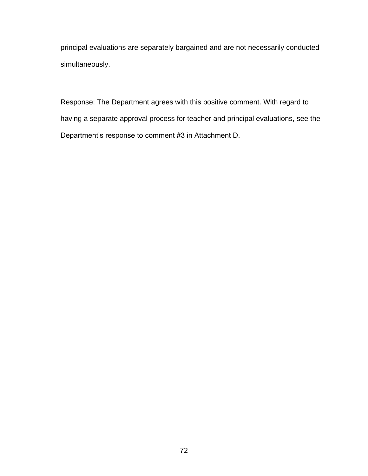principal evaluations are separately bargained and are not necessarily conducted simultaneously.

Response: The Department agrees with this positive comment. With regard to having a separate approval process for teacher and principal evaluations, see the Department's response to comment #3 in Attachment D.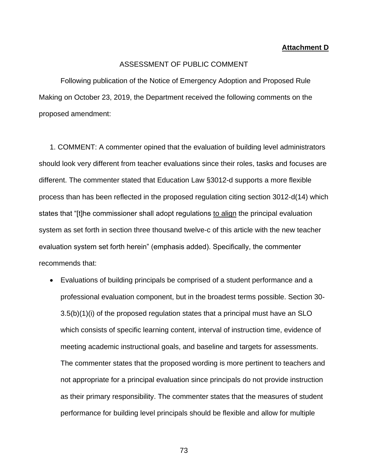## **Attachment D**

## ASSESSMENT OF PUBLIC COMMENT

Following publication of the Notice of Emergency Adoption and Proposed Rule Making on October 23, 2019, the Department received the following comments on the proposed amendment:

1. COMMENT: A commenter opined that the evaluation of building level administrators should look very different from teacher evaluations since their roles, tasks and focuses are different. The commenter stated that Education Law §3012-d supports a more flexible process than has been reflected in the proposed regulation citing section 3012-d(14) which states that "[t]he commissioner shall adopt regulations to align the principal evaluation system as set forth in section three thousand twelve-c of this article with the new teacher evaluation system set forth herein" (emphasis added). Specifically, the commenter recommends that:

• Evaluations of building principals be comprised of a student performance and a professional evaluation component, but in the broadest terms possible. Section 30- 3.5(b)(1)(i) of the proposed regulation states that a principal must have an SLO which consists of specific learning content, interval of instruction time, evidence of meeting academic instructional goals, and baseline and targets for assessments. The commenter states that the proposed wording is more pertinent to teachers and not appropriate for a principal evaluation since principals do not provide instruction as their primary responsibility. The commenter states that the measures of student performance for building level principals should be flexible and allow for multiple

73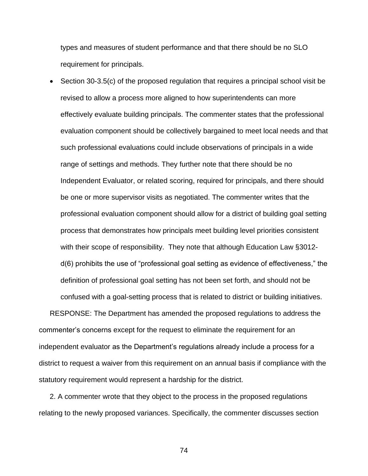types and measures of student performance and that there should be no SLO requirement for principals.

• Section 30-3.5(c) of the proposed regulation that requires a principal school visit be revised to allow a process more aligned to how superintendents can more effectively evaluate building principals. The commenter states that the professional evaluation component should be collectively bargained to meet local needs and that such professional evaluations could include observations of principals in a wide range of settings and methods. They further note that there should be no Independent Evaluator, or related scoring, required for principals, and there should be one or more supervisor visits as negotiated. The commenter writes that the professional evaluation component should allow for a district of building goal setting process that demonstrates how principals meet building level priorities consistent with their scope of responsibility. They note that although Education Law §3012d(6) prohibits the use of "professional goal setting as evidence of effectiveness," the definition of professional goal setting has not been set forth, and should not be confused with a goal-setting process that is related to district or building initiatives. RESPONSE: The Department has amended the proposed regulations to address the

commenter's concerns except for the request to eliminate the requirement for an independent evaluator as the Department's regulations already include a process for a district to request a waiver from this requirement on an annual basis if compliance with the statutory requirement would represent a hardship for the district.

2. A commenter wrote that they object to the process in the proposed regulations relating to the newly proposed variances. Specifically, the commenter discusses section

74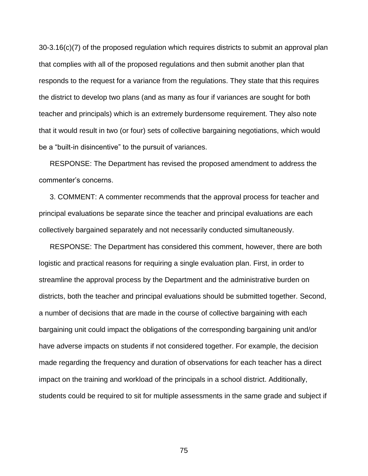30-3.16(c)(7) of the proposed regulation which requires districts to submit an approval plan that complies with all of the proposed regulations and then submit another plan that responds to the request for a variance from the regulations. They state that this requires the district to develop two plans (and as many as four if variances are sought for both teacher and principals) which is an extremely burdensome requirement. They also note that it would result in two (or four) sets of collective bargaining negotiations, which would be a "built-in disincentive" to the pursuit of variances.

RESPONSE: The Department has revised the proposed amendment to address the commenter's concerns.

3. COMMENT: A commenter recommends that the approval process for teacher and principal evaluations be separate since the teacher and principal evaluations are each collectively bargained separately and not necessarily conducted simultaneously.

RESPONSE: The Department has considered this comment, however, there are both logistic and practical reasons for requiring a single evaluation plan. First, in order to streamline the approval process by the Department and the administrative burden on districts, both the teacher and principal evaluations should be submitted together. Second, a number of decisions that are made in the course of collective bargaining with each bargaining unit could impact the obligations of the corresponding bargaining unit and/or have adverse impacts on students if not considered together. For example, the decision made regarding the frequency and duration of observations for each teacher has a direct impact on the training and workload of the principals in a school district. Additionally, students could be required to sit for multiple assessments in the same grade and subject if

75